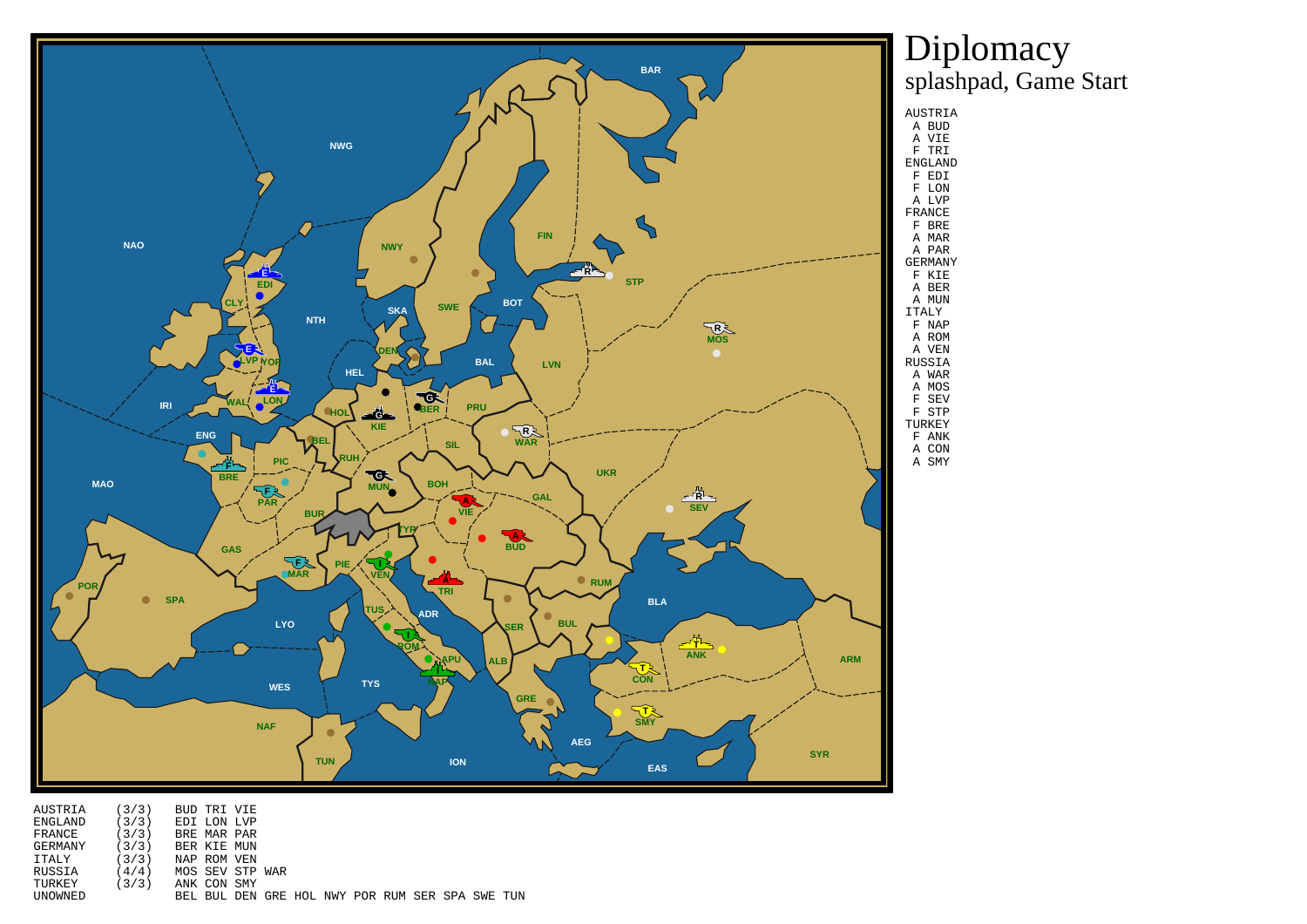

Diplomacy splashpad, Game Start

AUSTRIA (3/3) BUD TRI VIE ENGLAND (3/3) EDI LON LVP FRANCE (3/3) BRE MAR PAR GERMANY (3/3) BER KIE MUN ITALY (3/3) NAP ROM VEN RUSSIA (4/4) MOS SEV STP WARTURKEY (3/3) ANK CON SMYUNOWNED BEL BUL DEN GRE HOL NWY POR RUM SER SPA SWE TUN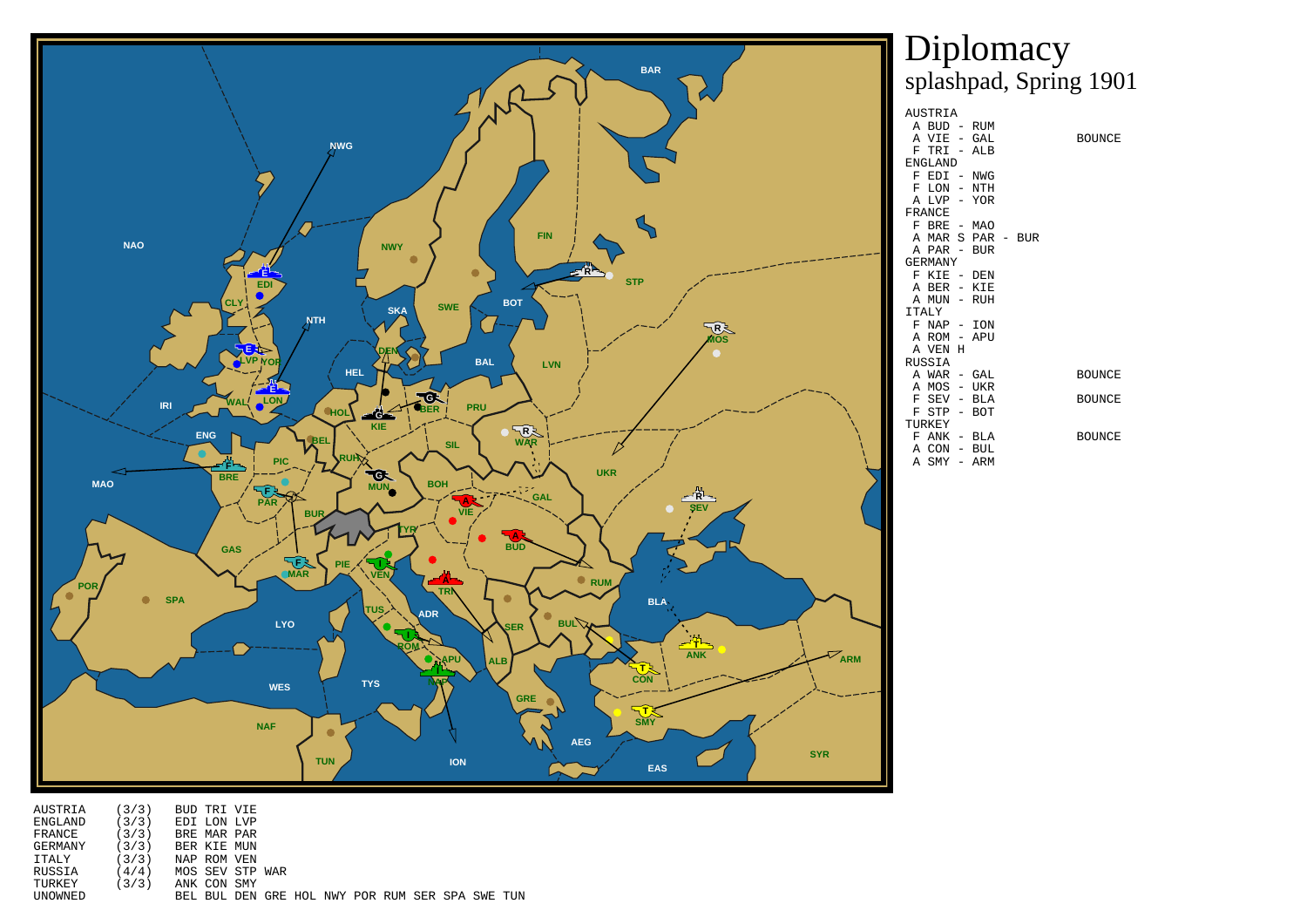

 A BUD - RUM A VIE - GAL BOUNCE F TRI - ALB ENGLAND F EDI - NWG F LON - NTH A LVP - YOR FRANCE F BRE - MAO A MAR S PAR - BUR A PAR - BUR GERMANY F KIE - DEN A BER - KIE A MUN - RUH ITALY F NAP - ION A ROM - APU A VEN H RUSSIA A WAR - GAL BOUNCE A MOS - UKR F SEV - BLA BOUNCE F STP - BOT TURKEY F ANK - BLA BOUNCE A CON - BUL A SMY - ARM

| ENGLAND | (3/3) | EDI LON LVP     |  |  |  |                                                 |  |
|---------|-------|-----------------|--|--|--|-------------------------------------------------|--|
| FRANCE  | (3/3) | BRE MAR PAR     |  |  |  |                                                 |  |
| GERMANY | (3/3) | BER KIE MUN     |  |  |  |                                                 |  |
| ITALY   | (3/3) | NAP ROM VEN     |  |  |  |                                                 |  |
| RUSSIA  | (4/4) | MOS SEV STP WAR |  |  |  |                                                 |  |
| TURKEY  | (3/3) | ANK CON SMY     |  |  |  |                                                 |  |
| UNOWNED |       |                 |  |  |  | BEL BUL DEN GRE HOL NWY POR RUM SER SPA SWE TUN |  |
|         |       |                 |  |  |  |                                                 |  |

AUSTRIA (3/3) BUD TRI VIE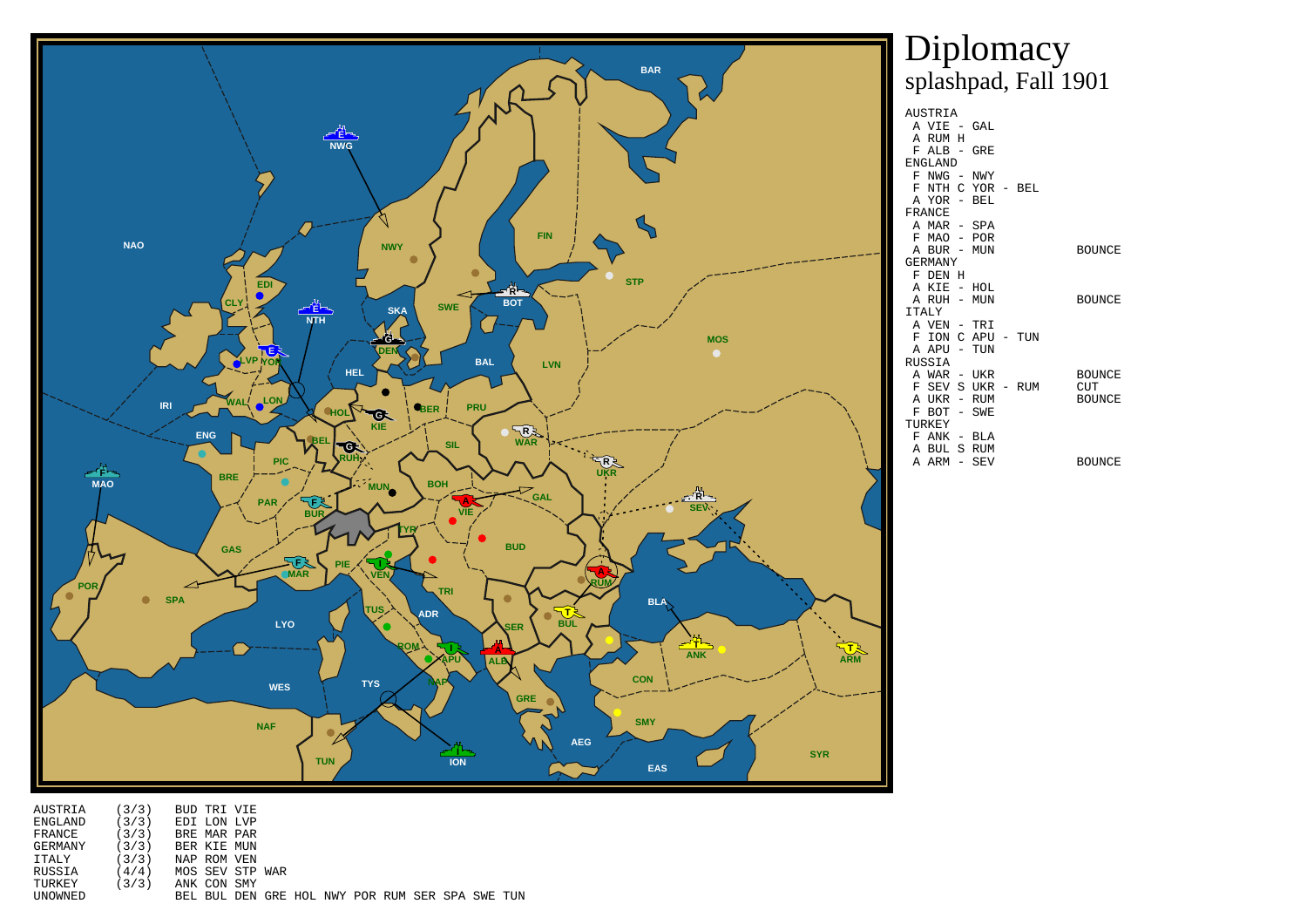

 A VIE - GAL A RUM H F ALB - GRE ENGLAND F NWG - NWY F NTH C YOR - BEL A YOR - BEL FRANCE A MAR - SPA F MAO - POR A BUR - MUN BOUNCEGERMANY F DEN H A KIE - HOL A RUH - MUN BOUNCEITALY A VEN - TRI F ION C APU - TUN A APU - TUN RUSSIA A WAR - UKR BOUNCE F SEV S UKR - RUM CUT**BOUNCE** A UKR - RUM F BOT - SWE TURKEY F ANK - BLA A BUL S RUM A ARM - SEV BOUNCE

| AUSTRIA<br>ENGLAND<br>FRANCE<br>GERMANY<br>ITALY<br>RUSSIA<br>TURKEY | (3/3)<br>(3/3)<br>(3/3)<br>(3/3)<br>(3/3)<br>(4/4)<br>(3/3) | BUD TRI VIE<br>EDI LON LVP<br>BRE MAR PAR<br>BER KIE MUN<br>NAP ROM VEN<br>MOS SEV STP WAR<br>ANK CON SMY |  |  |  |  |                                                 |  |
|----------------------------------------------------------------------|-------------------------------------------------------------|-----------------------------------------------------------------------------------------------------------|--|--|--|--|-------------------------------------------------|--|
| UNOWNED                                                              |                                                             |                                                                                                           |  |  |  |  | BEL BUL DEN GRE HOL NWY POR RUM SER SPA SWE TUN |  |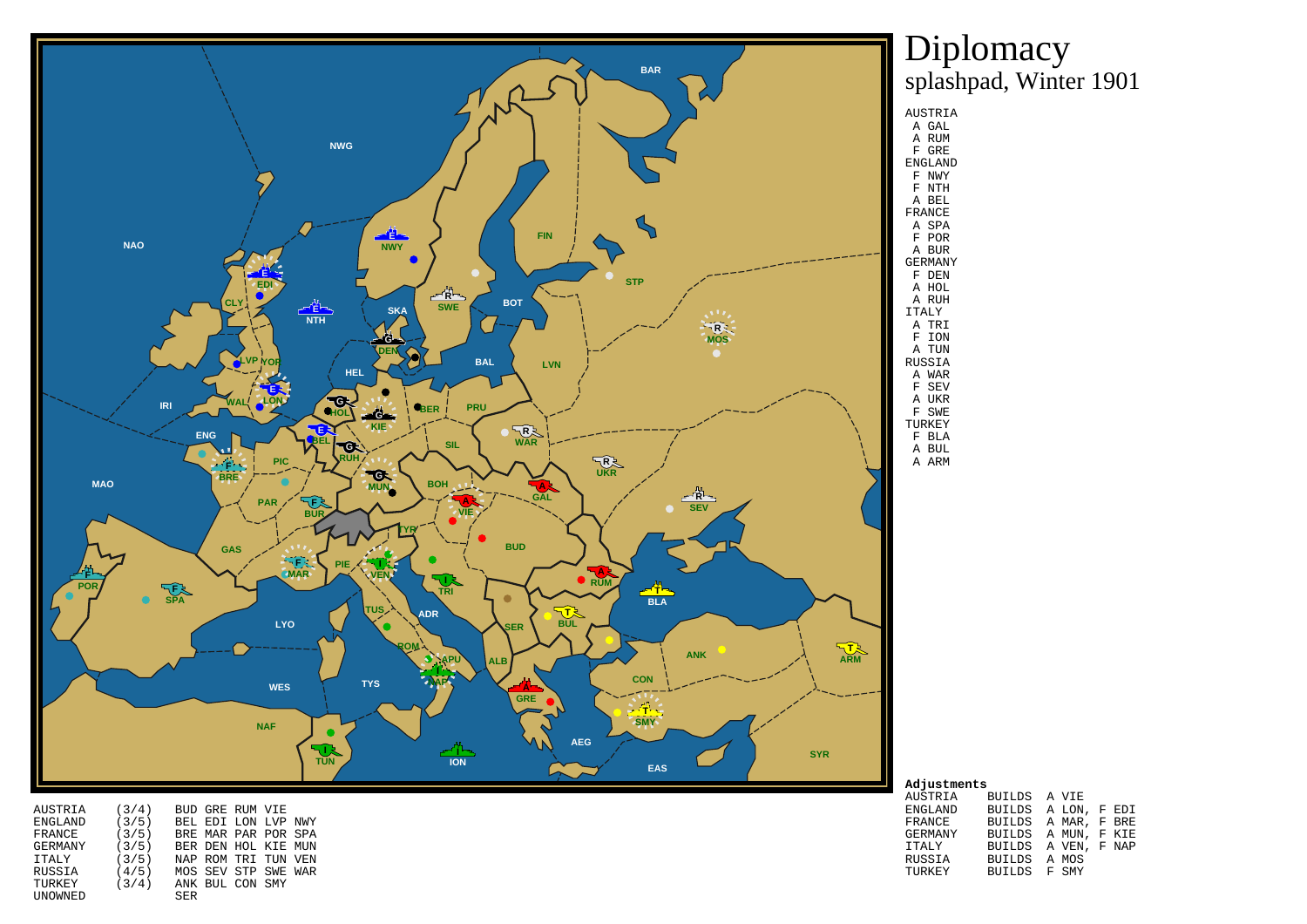

| Diplomacy              |  |
|------------------------|--|
| splashpad, Winter 1901 |  |

| AUSTRIA | (3/4) |            | BUD GRE RUM VIE |                     |  |
|---------|-------|------------|-----------------|---------------------|--|
|         |       |            |                 |                     |  |
| ENGLAND | (3/5) |            |                 | BEL EDI LON LVP NWY |  |
| FRANCE  | (3/5) |            |                 | BRE MAR PAR POR SPA |  |
| GERMANY | (3/5) |            |                 | BER DEN HOL KIE MUN |  |
| ITALY   | (3/5) |            |                 | NAP ROM TRI TUN VEN |  |
| RUSSIA  | (4/5) |            |                 | MOS SEV STP SWE WAR |  |
| TURKEY  | (3/4) |            | ANK BUL CON SMY |                     |  |
| UNOWNED |       | <b>SER</b> |                 |                     |  |

| Adjustments  |               |              |  |
|--------------|---------------|--------------|--|
| AUSTRIA      | BUILDS        | A VIE        |  |
| ENGLAND      | BUILDS        | A LON, F EDI |  |
| FRANCE       | BUILDS        | A MAR, F BRE |  |
| GERMANY      | BUILDS        | A MUN, F KIE |  |
| <b>ITALY</b> | BUILDS        | A VEN, F NAP |  |
| RUSSIA       | BUILDS        | A MOS        |  |
| TURKEY       | <b>BUILDS</b> | F SMY        |  |
|              |               |              |  |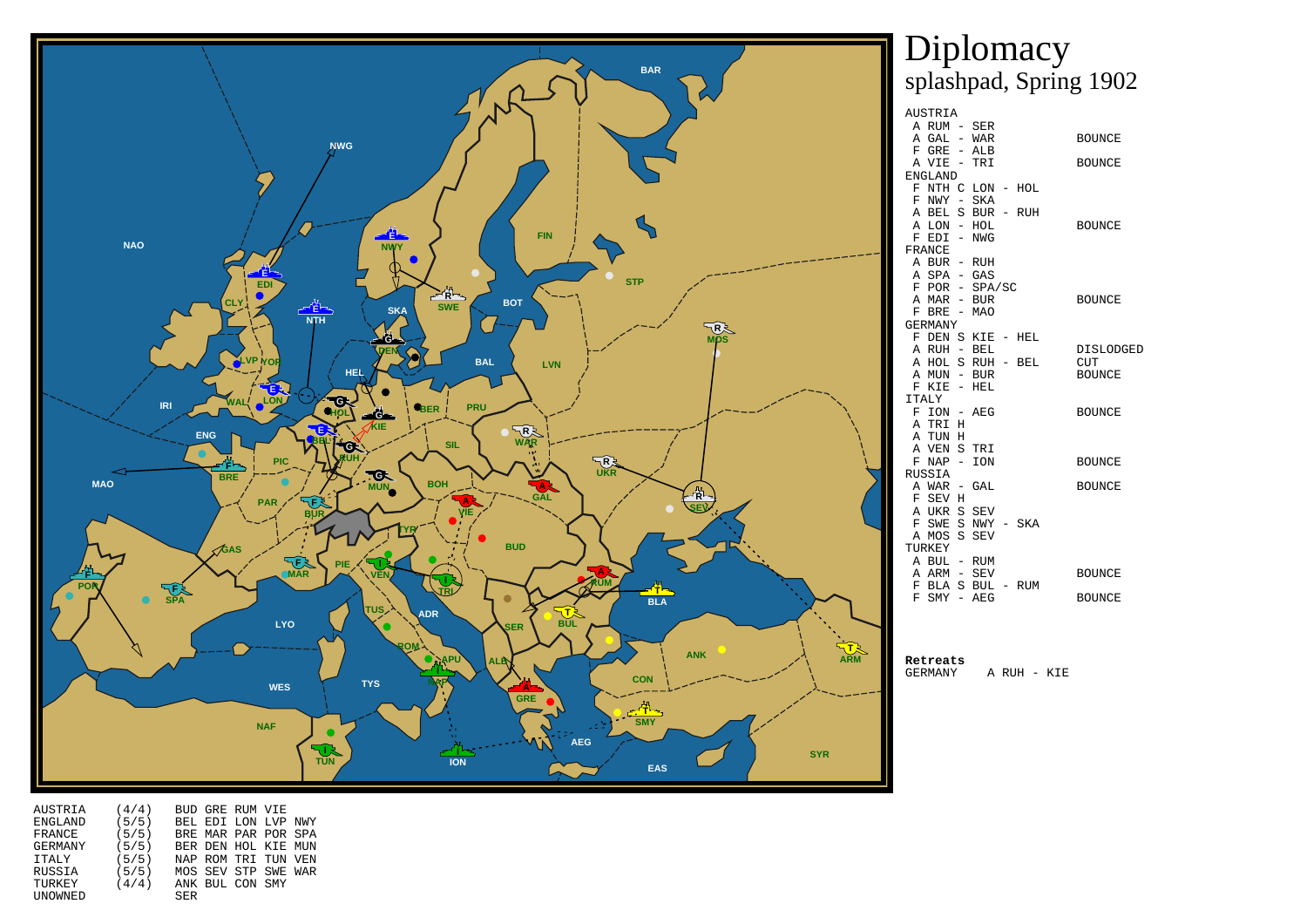

|   | AUSTRIA      |                   |                   |               |
|---|--------------|-------------------|-------------------|---------------|
|   | A RUM - SER  |                   |                   |               |
|   | A GAL - WAR  |                   |                   | <b>BOUNCE</b> |
|   | F GRE - ALB  |                   |                   |               |
|   | A VIE - TRI  |                   |                   | <b>BOUNCE</b> |
|   | ENGLAND      |                   |                   |               |
|   |              | F NTH C LON - HOL |                   |               |
|   |              | F NWY - SKA       |                   |               |
|   |              | A BEL S BUR - RUH |                   |               |
|   | A LON - HOL  |                   |                   | <b>BOUNCE</b> |
|   | F EDI - NWG  |                   |                   |               |
|   | FRANCE       |                   |                   |               |
|   | A BUR - RUH  |                   |                   |               |
|   | A SPA - GAS  |                   |                   |               |
|   |              | F POR - SPA/SC    |                   |               |
|   | A MAR - BUR  |                   |                   | <b>BOUNCE</b> |
|   | F BRE - MAO  |                   |                   |               |
|   | GERMANY      |                   |                   |               |
|   |              |                   | F DEN S KIE - HEL |               |
|   |              | A RUH - BEL       |                   | DISLODGED     |
|   |              |                   | A HOL S RUH - BEL | <b>CUT</b>    |
|   | A MUN - BUR  |                   |                   | <b>BOUNCE</b> |
|   | F KIE - HEL  |                   |                   |               |
|   | <b>ITALY</b> |                   |                   |               |
|   | F ION - AEG  |                   |                   | <b>BOUNCE</b> |
|   | A TRI H      |                   |                   |               |
|   | A TUN H      |                   |                   |               |
|   | A VEN S TRI  |                   |                   |               |
|   | $F$ NAP $-$  | ION               |                   | <b>BOUNCE</b> |
|   | RUSSIA       |                   |                   |               |
|   | A WAR - GAL  |                   |                   | <b>BOUNCE</b> |
|   | F SEV H      |                   |                   |               |
|   | A UKR S SEV  |                   |                   |               |
|   |              | F SWE S NWY - SKA |                   |               |
|   | A MOS S SEV  |                   |                   |               |
|   | TURKEY       |                   |                   |               |
|   | A BUL - RUM  |                   |                   |               |
|   | A ARM - SEV  |                   |                   | <b>BOUNCE</b> |
|   |              | F BLA S BUL - RUM |                   |               |
| F | SMY          | $-$ AEG           |                   | BOUNCE        |
|   |              |                   |                   |               |

**Retreats**GERMANY A RUH - KIE

| AUSTRIA        | (4/4) |            | BUD GRE RUM VIE |                     |  |
|----------------|-------|------------|-----------------|---------------------|--|
| <b>ENGLAND</b> | (5/5) |            |                 | BEL EDI LON LVP NWY |  |
| FRANCE         | (5/5) |            |                 | BRE MAR PAR POR SPA |  |
| GERMANY        | (5/5) |            |                 | BER DEN HOL KIE MUN |  |
| ITALY          | (5/5) |            |                 | NAP ROM TRI TUN VEN |  |
| RUSSIA         | (5/5) |            |                 | MOS SEV STP SWE WAR |  |
| TURKEY         | (4/4) |            | ANK BUL CON SMY |                     |  |
| UNOWNED        |       | <b>SER</b> |                 |                     |  |
|                |       |            |                 |                     |  |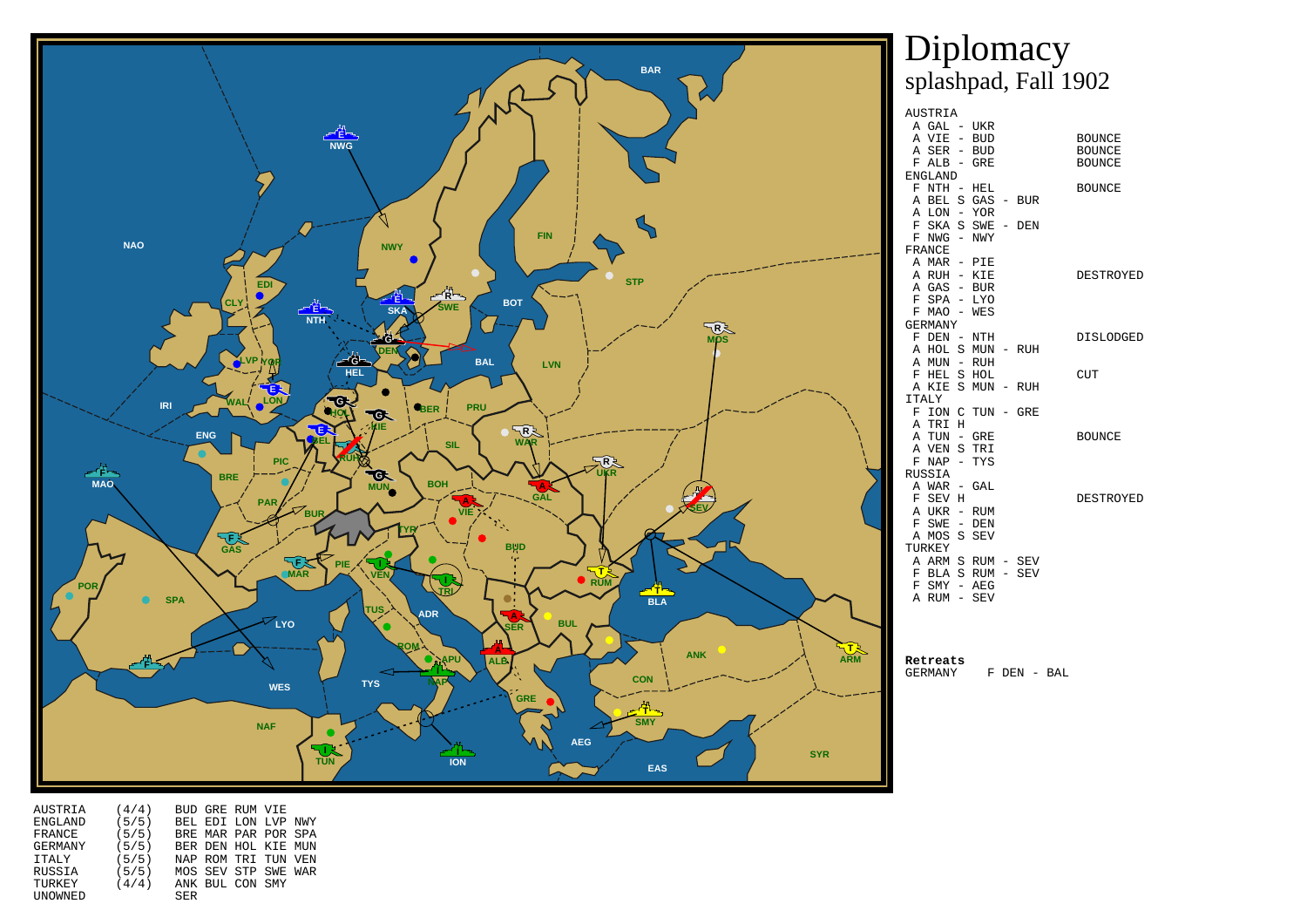

|   | AUSTRIA      |                   |            |                  |  |
|---|--------------|-------------------|------------|------------------|--|
|   | A GAL - UKR  |                   |            |                  |  |
|   | A VIE - BUD  |                   |            | <b>BOUNCE</b>    |  |
|   | A SER - BUD  |                   |            | <b>BOUNCE</b>    |  |
|   | $F$ ALB $-$  | GRE               |            | <b>BOUNCE</b>    |  |
|   | ENGLAND      |                   |            |                  |  |
|   | F NTH - HEL  |                   |            | <b>BOUNCE</b>    |  |
|   |              | A BEL S GAS - BUR |            |                  |  |
|   |              | A LON - YOR       |            |                  |  |
|   |              | F SKA S SWE - DEN |            |                  |  |
|   | F NWG - NWY  |                   |            |                  |  |
|   | FRANCE       |                   |            |                  |  |
|   | A MAR - PIE  |                   |            |                  |  |
|   | A RUH - KIE  |                   |            | DESTROYED        |  |
|   | A GAS - BUR  |                   |            |                  |  |
|   | F SPA - LYO  |                   |            |                  |  |
|   | F MAO - WES  |                   |            |                  |  |
|   | GERMANY      |                   |            |                  |  |
|   | F DEN - NTH  |                   |            | <b>DISLODGED</b> |  |
|   |              | A HOL S MUN - RUH |            |                  |  |
|   | A MUN - RUH  |                   |            |                  |  |
|   |              | F HEL S HOL       |            | <b>CUT</b>       |  |
|   |              | A KIE S MUN - RUH |            |                  |  |
|   | <b>ITALY</b> |                   |            |                  |  |
|   |              | F ION C TUN -     | <b>GRE</b> |                  |  |
| A | TRI H        |                   |            |                  |  |
|   | A TUN -      | GRE               |            | <b>BOUNCE</b>    |  |
|   | A VEN S TRI  |                   |            |                  |  |
| F | $NAP -$      | TYS               |            |                  |  |
|   | RUSSIA       |                   |            |                  |  |
|   | A WAR -      | GAL               |            |                  |  |
|   | F SEV H      |                   |            | DESTROYED        |  |
|   | A UKR -      | RUM               |            |                  |  |
|   | F SWE - DEN  |                   |            |                  |  |
|   | A MOS S      | SEV               |            |                  |  |
|   | TURKEY       |                   |            |                  |  |
|   |              | A ARM S RUM - SEV |            |                  |  |
|   |              | F BLA S RUM -     | <b>SEV</b> |                  |  |
|   | F SMY - AEG  |                   |            |                  |  |
| A | RUM - SEV    |                   |            |                  |  |
|   |              |                   |            |                  |  |

**Retreats**GERMANY F DEN - BAL

| AUSTRIA        | (4/4) |            | BUD GRE RUM VIE |                     |  |
|----------------|-------|------------|-----------------|---------------------|--|
| <b>ENGLAND</b> | (5/5) |            |                 | BEL EDI LON LVP NWY |  |
| FRANCE         | (5/5) |            |                 | BRE MAR PAR POR SPA |  |
| GERMANY        | (5/5) |            |                 | BER DEN HOL KIE MUN |  |
| ITALY          | (5/5) |            |                 | NAP ROM TRI TUN VEN |  |
| RUSSIA         | (5/5) |            |                 | MOS SEV STP SWE WAR |  |
| TURKEY         | (4/4) |            | ANK BUL CON SMY |                     |  |
| UNOWNED        |       | <b>SER</b> |                 |                     |  |
|                |       |            |                 |                     |  |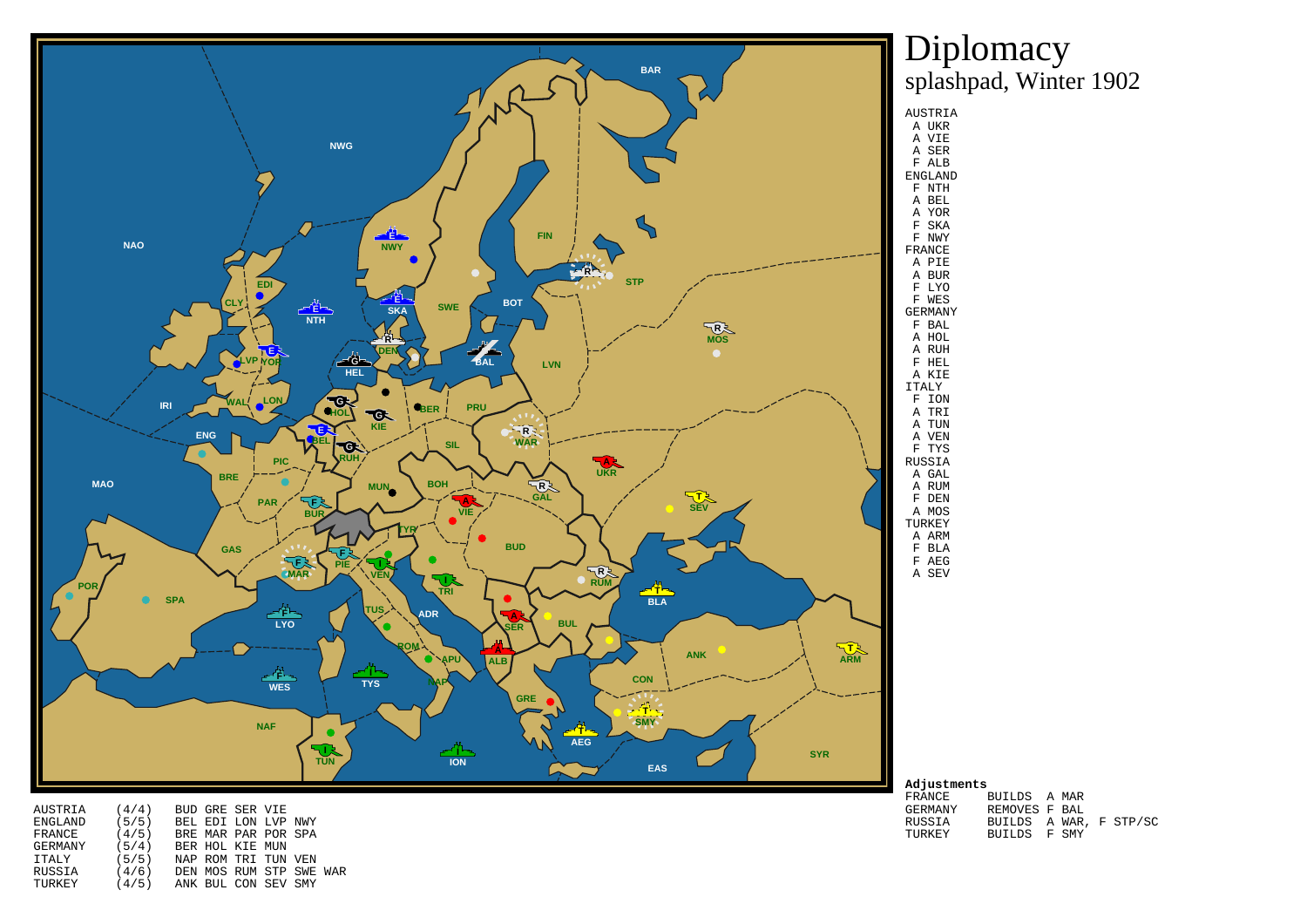

Diplomacysplashpad, Winter 1902

AUSTRIA (4/4) BUD GRE SER VIE ENGLAND (5/5) BEL EDI LON LVP NWY FRANCE (4/5) BRE MAR PAR POR SPAGERMANY (5/4) BER HOL KIE MUN ITALY (5/5) NAP ROM TRI TUN VEN RUSSIA (4/6) DEN MOS RUM STP SWE WARTURKEY (4/5) ANK BUL CON SEV SMY

#### **Adjustments**BUILDS A MAR GERMANY REMOVES F BAL RUSSIA BUILDS A WAR, F STP/SCTURKEY BUILDS F SMY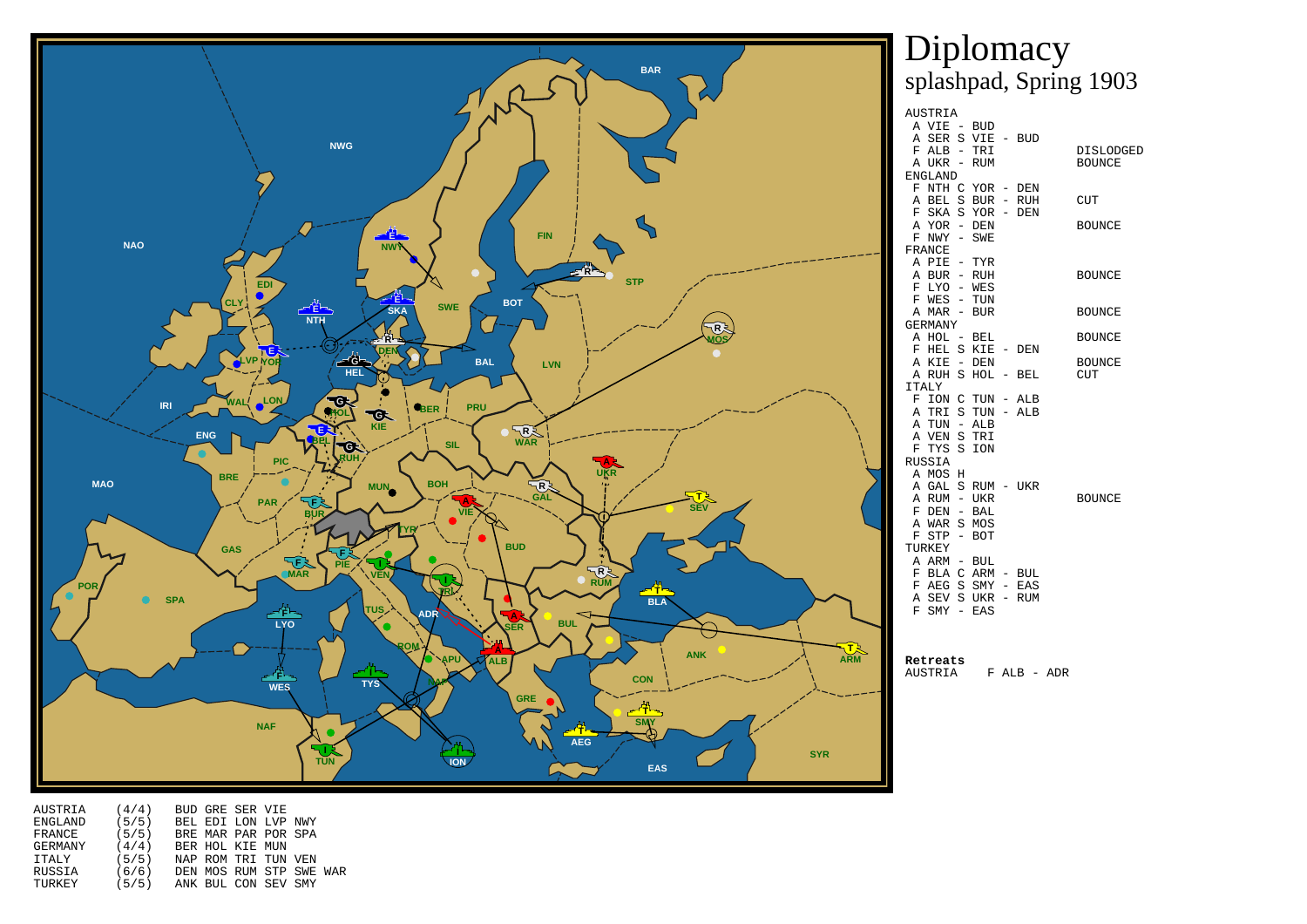

F ALB - ADR

AUSTRIA (4/4) BUD GRE SER VIE ENGLAND (5/5) BEL EDI LON LVP NWY FRANCE (5/5) BRE MAR PAR POR SPAGERMANY (4/4) BER HOL KIE MUN<br>ITALY (5/5) NAP ROM TRI TUN ITALY (5/5) NAP ROM TRI TUN VEN RUSSIA (6/6) DEN MOS RUM STP SWE WARTURKEY (5/5) ANK BUL CON SEV SMY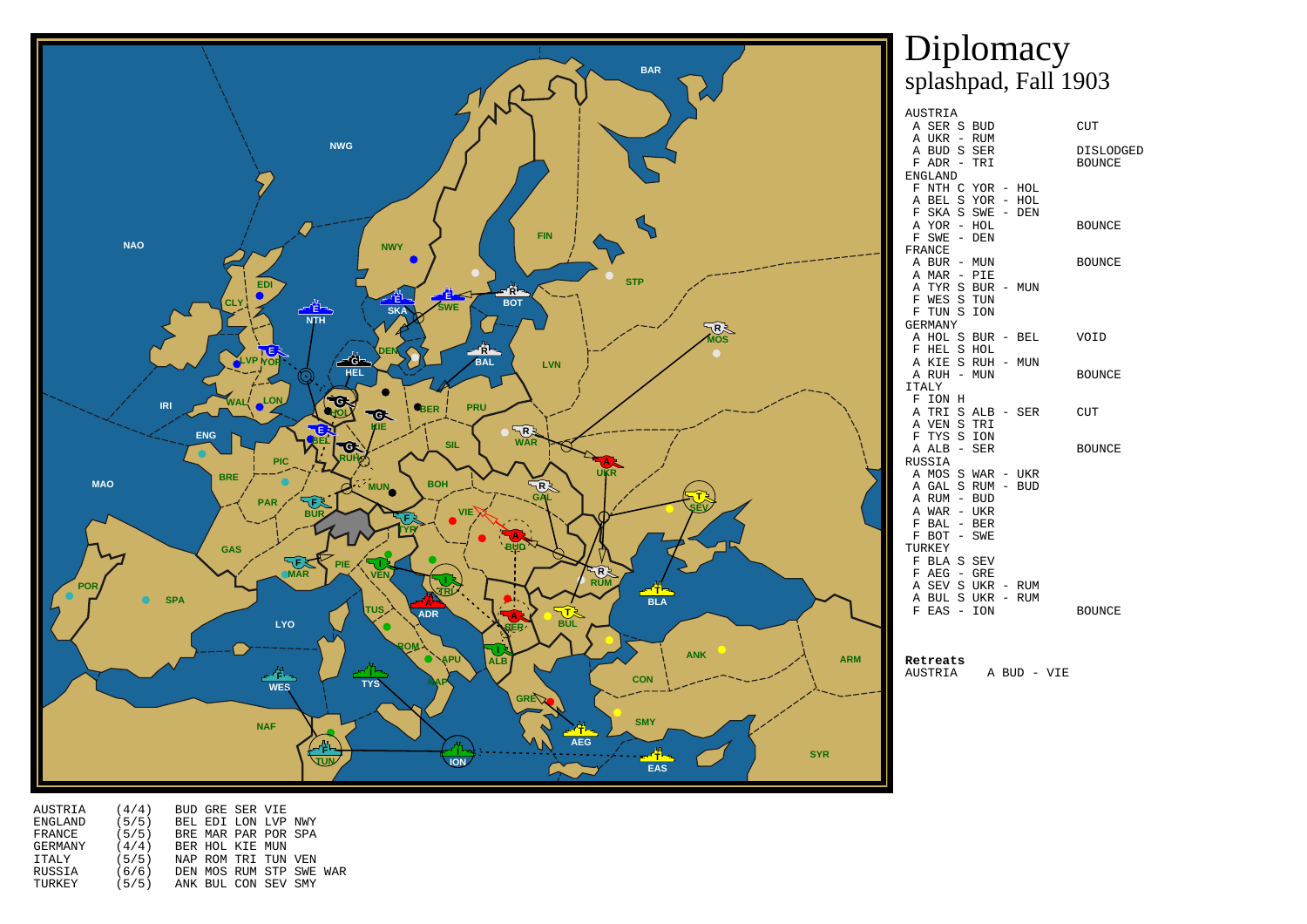

| Α | SER S          |                   | <b>BUD</b>        |          |            | CUT              |
|---|----------------|-------------------|-------------------|----------|------------|------------------|
|   | A UKR - RUM    |                   |                   |          |            |                  |
| Α | BUD S SER      |                   |                   |          |            | <b>DISLODGED</b> |
| F | ADR            | -                 | TRI               |          |            | <b>BOUNCE</b>    |
|   | <b>ENGLAND</b> |                   |                   |          |            |                  |
|   |                |                   | F NTH C YOR - HOL |          |            |                  |
|   | A BEL          |                   | S YOR -           |          | HOL        |                  |
|   | F SKA          |                   | S SWE             | $\equiv$ | DEN        |                  |
|   | A YOR - HOL    |                   |                   |          |            | <b>BOUNCE</b>    |
| F | SWE -          |                   | DEN               |          |            |                  |
|   | FRANCE         |                   |                   |          |            |                  |
|   | A BUR - MUN    |                   |                   |          |            | <b>BOUNCE</b>    |
|   | A MAR - PIE    |                   |                   |          |            |                  |
|   | A TYR S        |                   | BUR - MUN         |          |            |                  |
|   | F WES S TUN    |                   |                   |          |            |                  |
| F | TUN S          |                   | ION               |          |            |                  |
|   | <b>GERMANY</b> |                   |                   |          |            |                  |
|   | A HOL S        |                   |                   |          | BUR - BEL  | VOID             |
|   | F HEL          |                   | S HOL             |          |            |                  |
|   | A KIE          |                   | S RUH - MUN       |          |            |                  |
|   | A RUH - MUN    |                   |                   |          |            | <b>BOUNCE</b>    |
|   | <b>ITALY</b>   |                   |                   |          |            |                  |
|   | F ION          | H                 |                   |          |            |                  |
| Α | TRI S          |                   | ALB - SER         |          |            | <b>CUT</b>       |
|   | A VEN S        |                   | TRI               |          |            |                  |
|   | F TYS          | S                 | ION               |          |            |                  |
| Α | $ALB -$        |                   | SER               |          |            | <b>BOUNCE</b>    |
|   | RUSSIA         |                   |                   |          |            |                  |
|   | A MOS          |                   | S WAR - UKR       |          |            |                  |
|   | A GAL S        |                   | RUM -             |          | <b>BUD</b> |                  |
|   | A RUM -        |                   | <b>BUD</b>        |          |            |                  |
|   | A WAR          | -                 | UKR               |          |            |                  |
|   | $F$ BAL -      |                   | <b>BER</b>        |          |            |                  |
|   | F BOT          | $\qquad \qquad -$ | SWE               |          |            |                  |
|   | TURKEY         |                   |                   |          |            |                  |
| F | BLA            |                   | S SEV             |          |            |                  |
|   | $F$ AEG - GRE  |                   |                   |          |            |                  |
|   | A SEV S        |                   | UKR – RUM         |          |            |                  |
| Α | BUL            | S                 | UKR               | $ \,$    | <b>RUM</b> |                  |
| F | EAS -          |                   | ION               |          |            | <b>BOUNCE</b>    |
|   |                |                   |                   |          |            |                  |

**Retreats**AUSTRIA A BUD - VIE

AUSTRIA (4/4) BUD GRE SER VIE ENGLAND (5/5) BEL EDI LON LVP NWY FRANCE (5/5) BRE MAR PAR POR SPAGERMANY (4/4) BER HOL KIE MUN ITALY (5/5) NAP ROM TRI TUN VEN RUSSIA (6/6) DEN MOS RUM STP SWE WARTURKEY (5/5) ANK BUL CON SEV SMY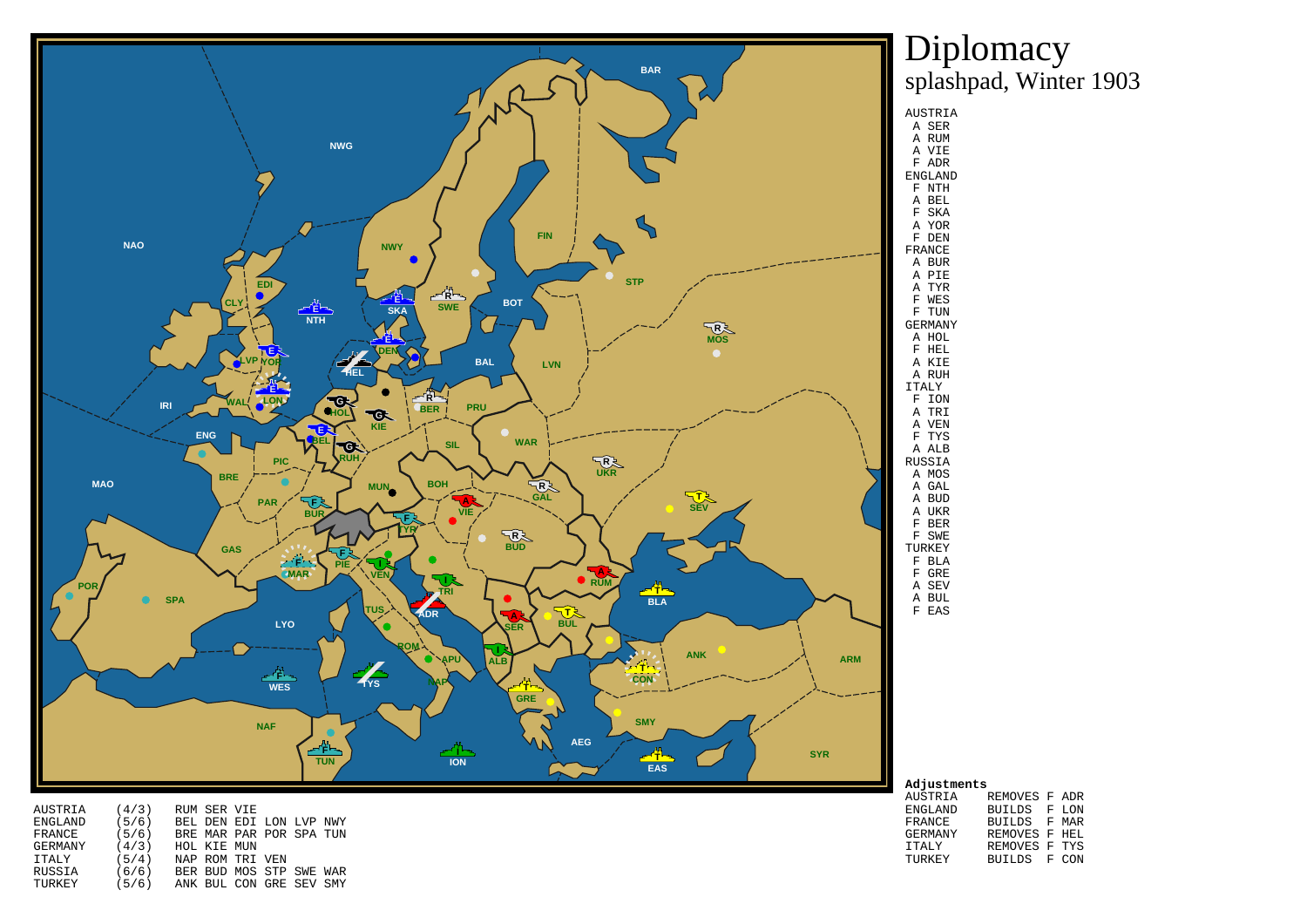

### Diplomacysplashpad, Winter 1903

AUSTRIA (4/3) RUM SER VIE ENGLAND (5/6) BEL DEN EDI LON LVP NWY FRANCE (5/6) BRE MAR PAR POR SPA TUNGERMANY (4/3) HOL KIE MUN ITALY (5/4) NAP ROM TRI VEN RUSSIA (6/6) BER BUD MOS STP SWE WARTURKEY (5/6) ANK BUL CON GRE SEV SMY

| Adjustments    |               |       |
|----------------|---------------|-------|
| AUSTRIA        | REMOVES F ADR |       |
| <b>ENGLAND</b> | <b>BUILDS</b> | F LON |
| FRANCE         | BUILDS F MAR  |       |
| GERMANY        | REMOVES F HEL |       |
| <b>TTALY</b>   | REMOVES F TYS |       |
| TURKEY         | BUILDS F CON  |       |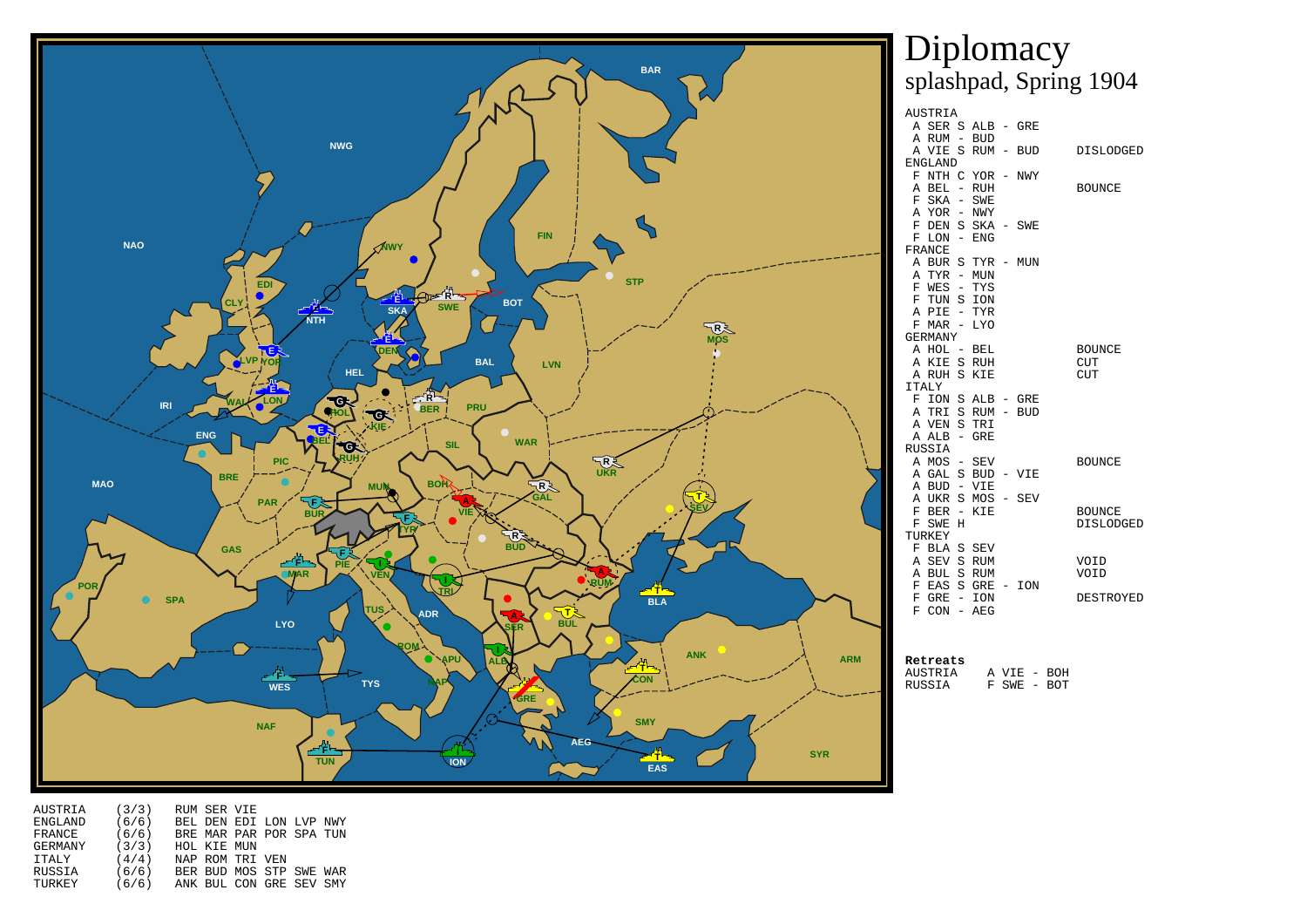

| Α |                       |                   | SER S ALB -       | GRE        |                  |
|---|-----------------------|-------------------|-------------------|------------|------------------|
| А | $RUM -$               |                   | BUD               |            |                  |
| Α | VIE<br><b>ENGLAND</b> | S                 | $RUM -$           | BUD        | <b>DISLODGED</b> |
|   | F NTH                 |                   | C YOR -           | NWY        |                  |
|   | A BEL - RUH           |                   |                   |            | <b>BOUNCE</b>    |
|   | F SKA - SWE           |                   |                   |            |                  |
| A | $YOR -$               |                   | NWY               |            |                  |
|   | F DEN S               |                   | SKA -             | SWE        |                  |
| F | LON -                 |                   | ENG               |            |                  |
|   | FRANCE                |                   |                   |            |                  |
|   |                       |                   | A BUR S TYR - MUN |            |                  |
| A |                       |                   | TYR - MUN         |            |                  |
|   | $F WES -$             |                   | TYS               |            |                  |
|   | F TUN S               |                   | ION               |            |                  |
| Α | PIE - TYR             |                   |                   |            |                  |
|   | F MAR                 | $\qquad \qquad -$ | LYO               |            |                  |
|   | <b>GERMANY</b>        |                   |                   |            |                  |
|   | A HOL - BEL           |                   |                   |            | <b>BOUNCE</b>    |
|   | A KIE S RUH           |                   |                   |            | <b>CUT</b>       |
|   | A RUH S               |                   | KIE               |            | <b>CUT</b>       |
|   | <b>ITALY</b>          |                   |                   |            |                  |
|   |                       |                   | F ION S ALB - GRE |            |                  |
|   |                       |                   | A TRI S RUM -     | <b>BUD</b> |                  |
| A | VEN S TRI             |                   |                   |            |                  |
|   | A ALB                 | $\sim$            | GRE               |            |                  |
|   | RUSSIA                |                   |                   |            |                  |
|   | A MOS -               |                   | SEV               |            | <b>BOUNCE</b>    |
|   | A GAL S               |                   | BUD - VIE<br>VIE  |            |                  |
|   | A BUD -<br>A UKR S    |                   | MOS - SEV         |            |                  |
|   | $F$ BER -             |                   | KIE               |            | <b>BOUNCE</b>    |
| F | SWE                   | Η                 |                   |            | <b>DISLODGED</b> |
|   | TURKEY                |                   |                   |            |                  |
|   | F BLA S SEV           |                   |                   |            |                  |
| A | SEV S                 |                   | RUM               |            | VOID             |
|   | A BUL S RUM           |                   |                   |            | VOID             |
| F |                       |                   | EAS S GRE -       | ION        |                  |
| F | GRE                   | -                 | ION               |            | DESTROYED        |
| F | $CON -$               |                   | AEG               |            |                  |
|   |                       |                   |                   |            |                  |

#### **Retreats**

AUSTRIA A VIE - BOH RUSSIA F SWE - BOT

AUSTRIA (3/3) RUM SER VIE ENGLAND (6/6) BEL DEN EDI LON LVP NWY FRANCE (6/6) BRE MAR PAR POR SPA TUNGERMANY (3/3) HOL KIE MUN ITALY (4/4) NAP ROM TRI VEN RUSSIA (6/6) BER BUD MOS STP SWE WARTURKEY (6/6) ANK BUL CON GRE SEV SMY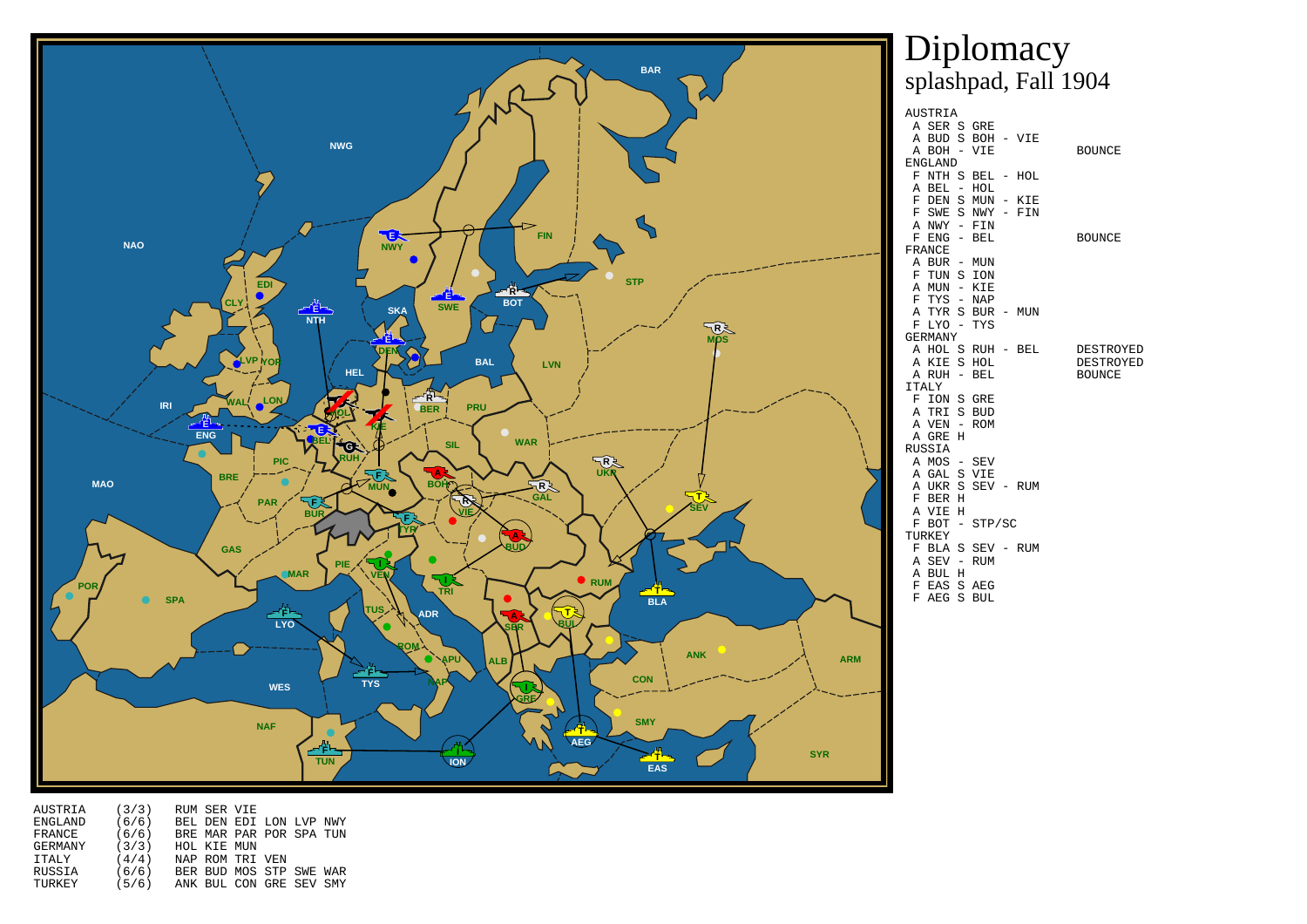

#### AUSTRIA

 A SER S GRE A BUD S BOH - VIE A BOH - VIE BOUNCE ENGLAND F NTH S BEL - HOL A BEL - HOL F DEN S MUN - KIE F SWE S NWY - FIN A NWY - FIN F ENG - BEL BOUNCEFRANCE A BUR - MUN F TUN S ION A MUN - KIE F TYS - NAP A TYR S BUR - MUN F LYO - TYS GERMANY A HOL S RUH - BEL DESTROYEDDESTROYED A KIE S HOL A RUH - BEL BOUNCEITALY F ION S GRE A TRI S BUD A VEN - ROM A GRE H RUSSIA A MOS - SEV A GAL S VIE A UKR S SEV - RUM F BER H A VIE H F BOT - STP/SC TURKEY F BLA S SEV - RUM A SEV - RUM A BUL H F EAS S AEG

AUSTRIA (3/3) RUM SER VIE ENGLAND (6/6) BEL DEN EDI LON LVP NWY FRANCE (6/6) BRE MAR PAR POR SPA TUNGERMANY (3/3) HOL KIE MUN<br>ITALY (4/4) NAP ROM TRI ITALY (4/4) NAP ROM TRI VEN RUSSIA (6/6) BER BUD MOS STP SWE WARTURKEY (5/6) ANK BUL CON GRE SEV SMY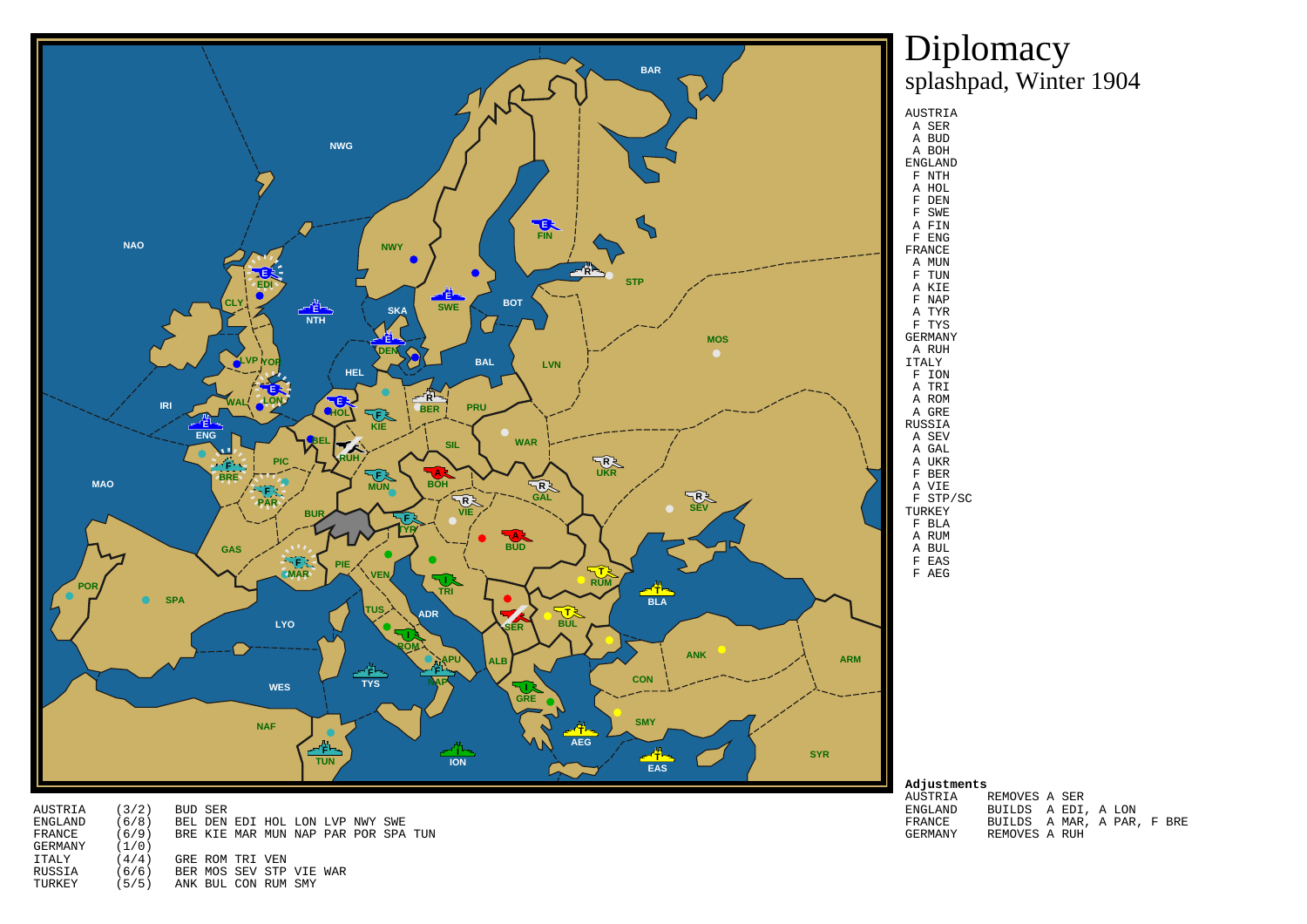

Diplomacysplashpad, Winter 1904

AUSTRIA (3/2) BUD SER ENGLAND (6/8) BEL DEN EDI HOL LON LVP NWY SWE FRANCE (6/9) BRE KIE MAR MUN NAP PAR POR SPA TUNGERMANY (1/0) ITALY (4/4) GRE ROM TRI VEN RUSSIA (6/6) BER MOS SEV STP VIE WARTURKEY (5/5) ANK BUL CON RUM SMY

#### **Adjustments**

| AUSTRIA | REMOVES A SER              |  |  |  |
|---------|----------------------------|--|--|--|
| ENGLAND | BUILDS A EDI, A LON        |  |  |  |
| FRANCE  | BUILDS A MAR, A PAR, F BRE |  |  |  |
| GERMANY | REMOVES A RUH              |  |  |  |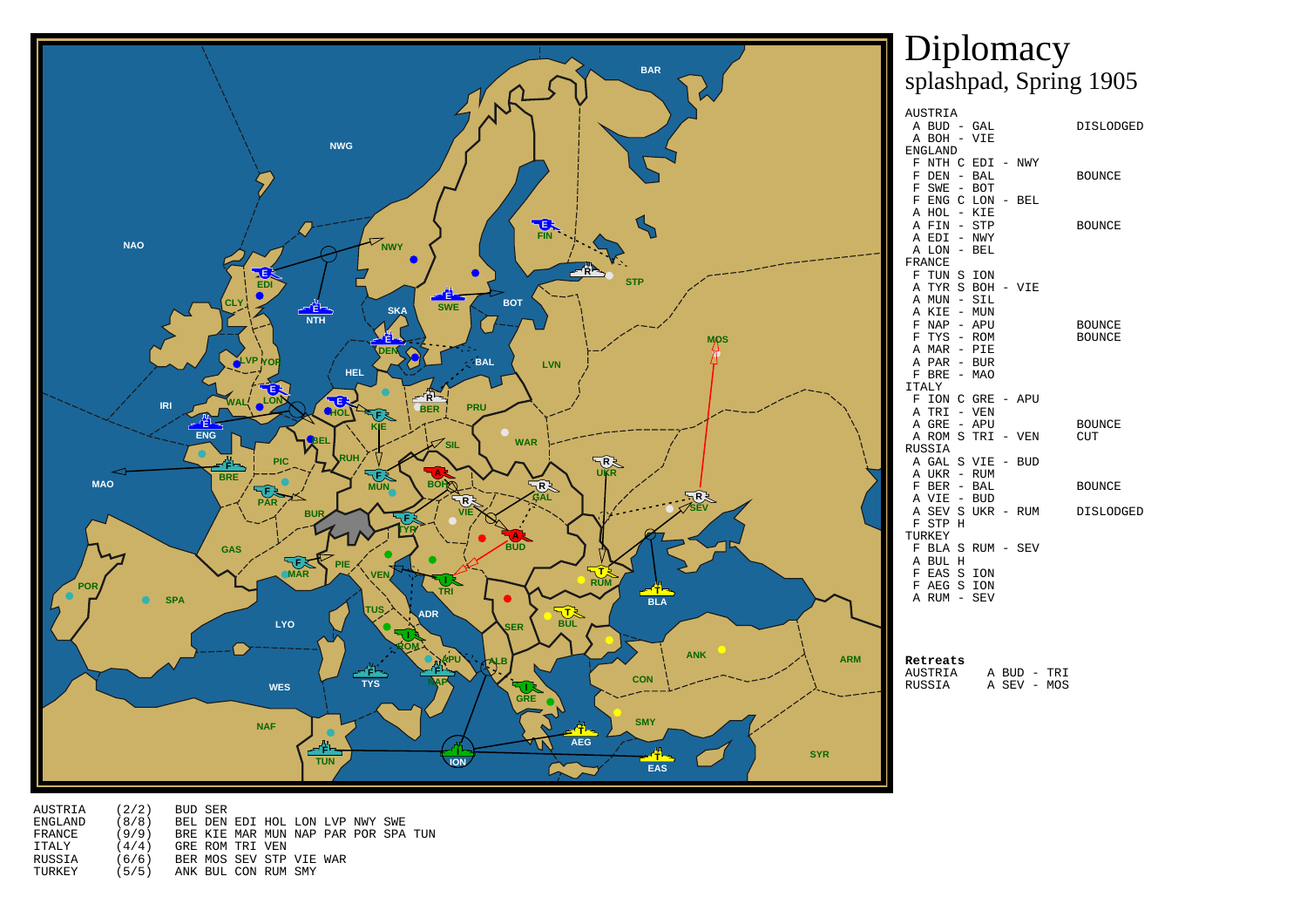

|                | AUDINIA     |                   |                   |               |
|----------------|-------------|-------------------|-------------------|---------------|
|                | A BUD - GAL |                   |                   | DISLODGED     |
|                | A BOH - VIE |                   |                   |               |
|                | ENGLAND     |                   |                   |               |
| F              |             | NTH C EDI - NWY   |                   |               |
|                | F DEN - BAL |                   |                   | <b>BOUNCE</b> |
|                | F SWE - BOT |                   |                   |               |
|                |             | F ENG C LON - BEL |                   |               |
|                | A HOL - KIE |                   |                   |               |
|                | A FIN - STP |                   |                   | <b>BOUNCE</b> |
|                | A EDI - NWY |                   |                   |               |
|                | A LON - BEL |                   |                   |               |
|                | FRANCE      |                   |                   |               |
|                | F TUN S ION |                   |                   |               |
|                |             | A TYR S BOH - VIE |                   |               |
|                | A MUN - SIL |                   |                   |               |
|                | A KIE - MUN |                   |                   |               |
|                | F NAP - APU |                   |                   | <b>BOUNCE</b> |
|                | F TYS - ROM |                   |                   | <b>BOUNCE</b> |
|                | A MAR - PIE |                   |                   |               |
|                | A PAR - BUR |                   |                   |               |
|                | F BRE - MAO |                   |                   |               |
|                | ITALY       |                   |                   |               |
|                |             | F ION C GRE - APU |                   |               |
| $\overline{A}$ |             | TRI - VEN         |                   |               |
|                | A GRE - APU |                   |                   | <b>BOUNCE</b> |
|                |             |                   | A ROM S TRI - VEN | <b>CUT</b>    |
|                | RUSSIA      |                   |                   |               |
|                |             | A GAL S VIE - BUD |                   |               |
|                | A UKR - RUM |                   |                   |               |
|                | F BER - BAL |                   |                   | <b>BOUNCE</b> |
|                | A VIE - BUD |                   |                   |               |
|                |             |                   | A SEV S UKR - RUM | DISLODGED     |
|                | F STP H     |                   |                   |               |
|                | TURKEY      |                   |                   |               |
|                | F BLA S     | RUM - SEV         |                   |               |
|                | A BUL H     |                   |                   |               |
|                | F EAS S ION |                   |                   |               |
|                | F AEG S ION |                   |                   |               |
| Α              | RUM - SEV   |                   |                   |               |
|                |             |                   |                   |               |
|                |             |                   |                   |               |

A BUD - TRI

AUSTRIA (2/2) BUD SER ENGLAND (8/8) BEL DEN EDI HOL LON LVP NWY SWE FRANCE (9/9) BRE KIE MAR MUN NAP PAR POR SPA TUNITALY (4/4) GRE ROM TRI VEN RUSSIA (6/6) BER MOS SEV STP VIE WARTURKEY (5/5) ANK BUL CON RUM SMY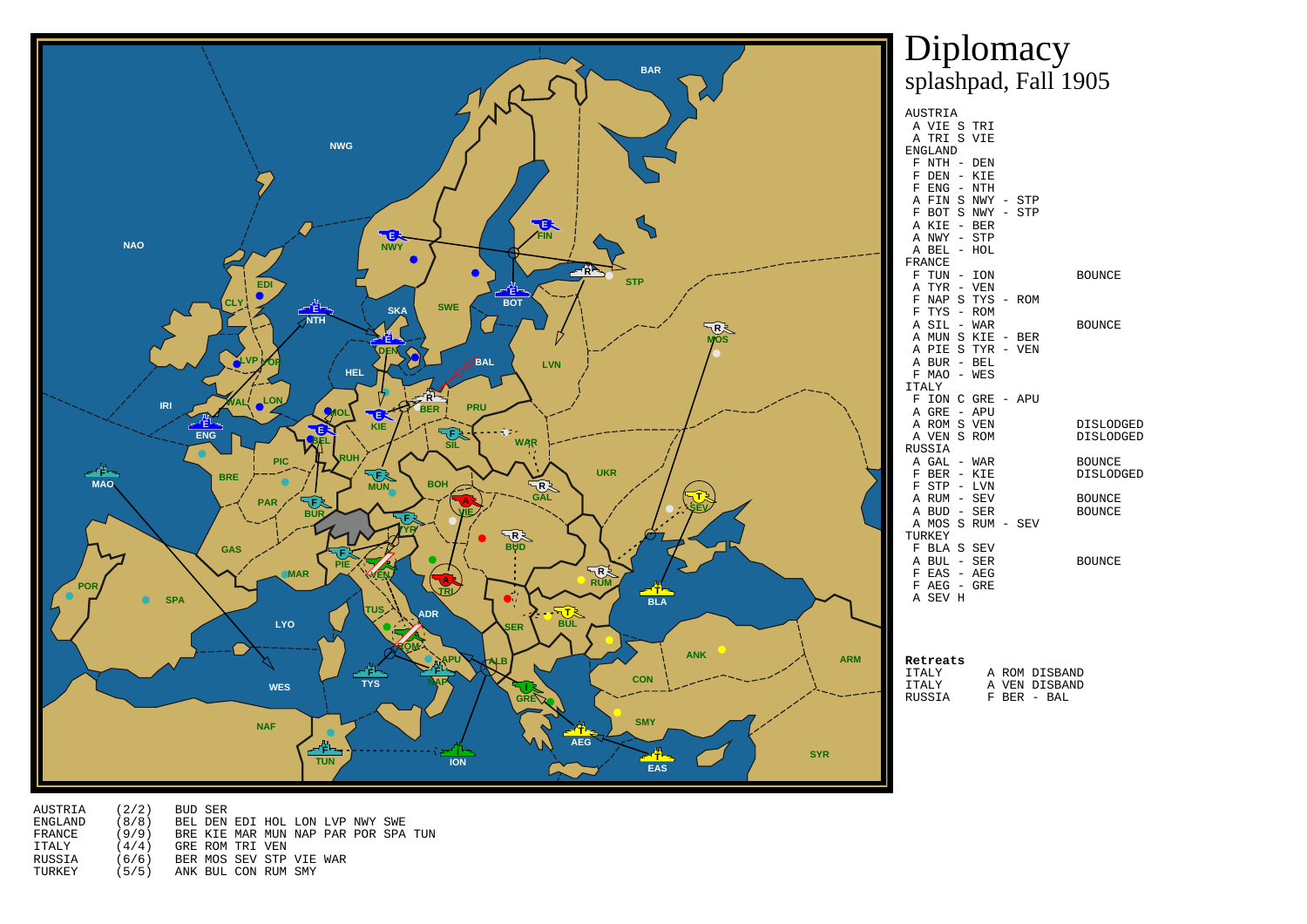

 A VIE S TRI A TRI S VIE ENGLAND F NTH - DEN F DEN - KIE F ENG - NTH A FIN S NWY - STP F BOT S NWY - STP A KIE - BER A NWY - STP A BEL - HOL FRANCE F TUN - ION BOUNCE A TYR - VEN F NAP S TYS - ROM F TYS - ROM A SIL - WAR BOUNCE A MUN S KIE - BER A PIE S TYR - VEN A BUR - BEL F MAO - WES ITALY F ION C GRE - APU A GRE - APU A ROM S VEN DISLODGED**DISLODGED** A VEN S ROM RUSSIA A GAL - WAR BOUNCEDISLODGED  $F$  BER - KIE F STP - LVN A RUM – SEV BOUNCE **BOUNCE**  $A$  BUD - SER A MOS S RUM - SEV TURKEY F BLA S SEV A BUL - SER BOUNCE F EAS - AEG F AEG - GRE A SEV H

**Retreats**ITALY A ROM DISBANDITALY A VEN DISBAND

AUSTRIA (2/2) BUD SER ENGLAND (8/8) BEL DEN EDI HOL LON LVP NWY SWE FRANCE (9/9) BRE KIE MAR MUN NAP PAR POR SPA TUNITALY (4/4) GRE ROM TRI VEN RUSSIA (6/6) BER MOS SEV STP VIE WARTURKEY (5/5) ANK BUL CON RUM SMY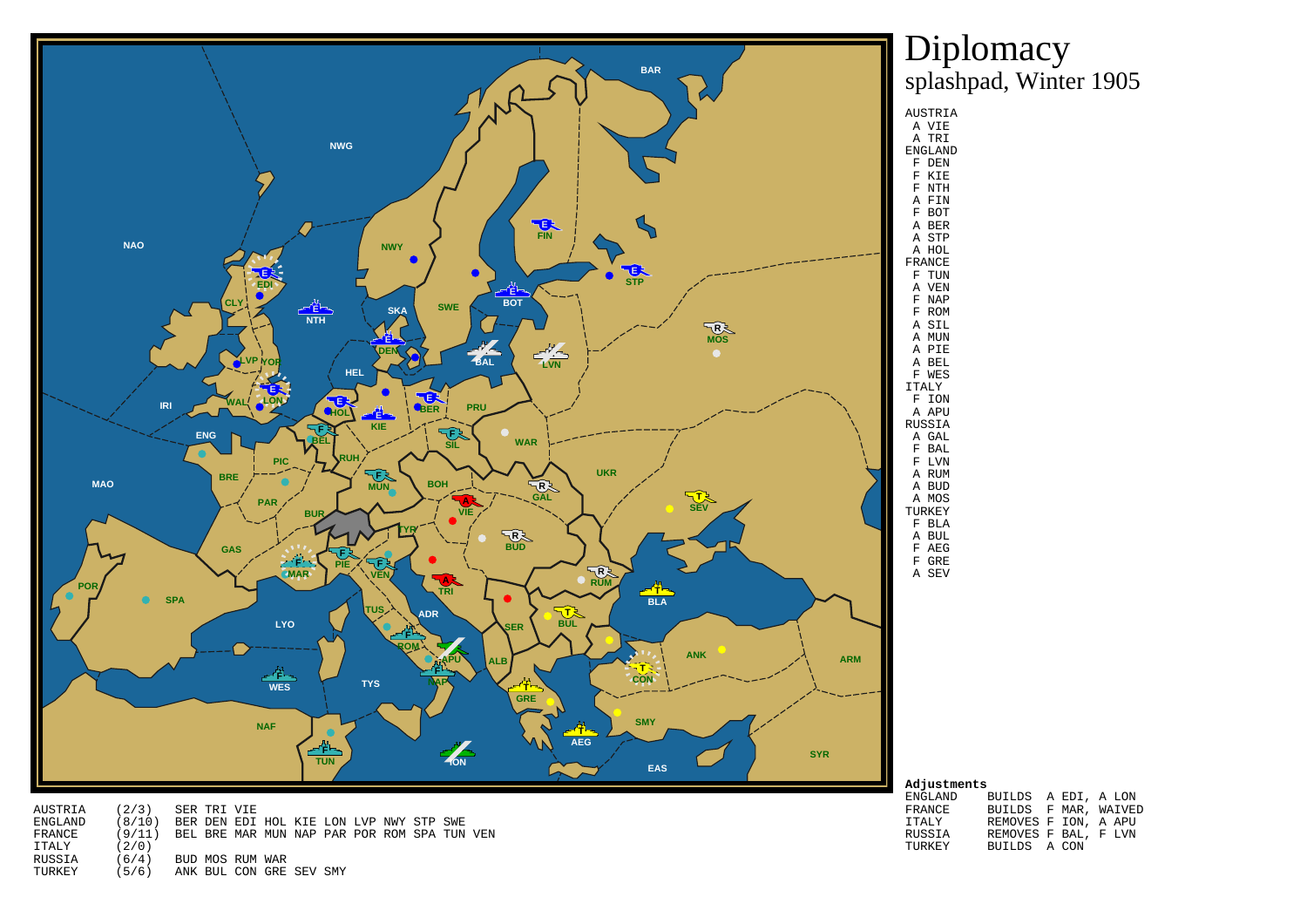

Diplomacysplashpad, Winter 1905

AUSTRIA (2/3) SER TRI VIE ENGLAND (8/10) BER DEN EDI HOL KIE LON LVP NWY STP SWE FRANCE (9/11) BEL BRE MAR MUN NAP PAR POR ROM SPA TUN VENITALY (2/0)  $(6/4)$ RUSSIA (6/4) BUD MOS RUM WARTURKEY (5/6) ANK BUL CON GRE SEV SMY

| Adjustments    |                      |  |  |
|----------------|----------------------|--|--|
| <b>ENGLAND</b> | BUILDS A EDI, A LON  |  |  |
| FRANCE         | BUILDS F MAR, WAIVED |  |  |
| ITALY          | REMOVES F ION, A APU |  |  |
| <b>RUSSIA</b>  | REMOVES F BAL, F LVN |  |  |
| TURKEY         | BUILDS A CON         |  |  |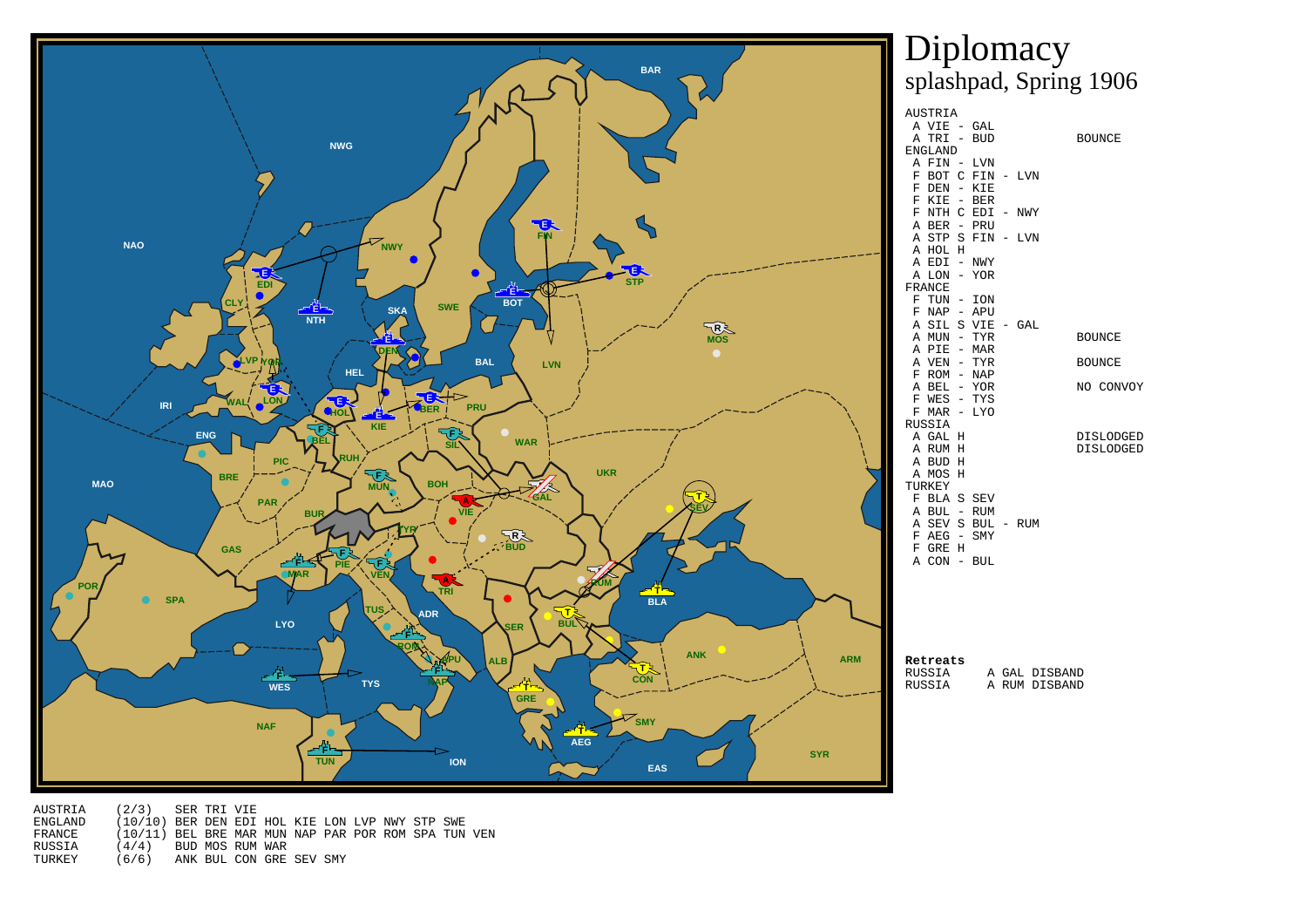

**DISLODGED** 

AUSTRIA (2/3) SER TRI VIE ENGLAND (10/10) BER DEN EDI HOL KIE LON LVP NWY STP SWE FRANCE (10/11) BEL BRE MAR MUN NAP PAR POR ROM SPA TUN VENRUSSIA (4/4) BUD MOS RUM WARTURKEY (6/6) ANK BUL CON GRE SEV SMY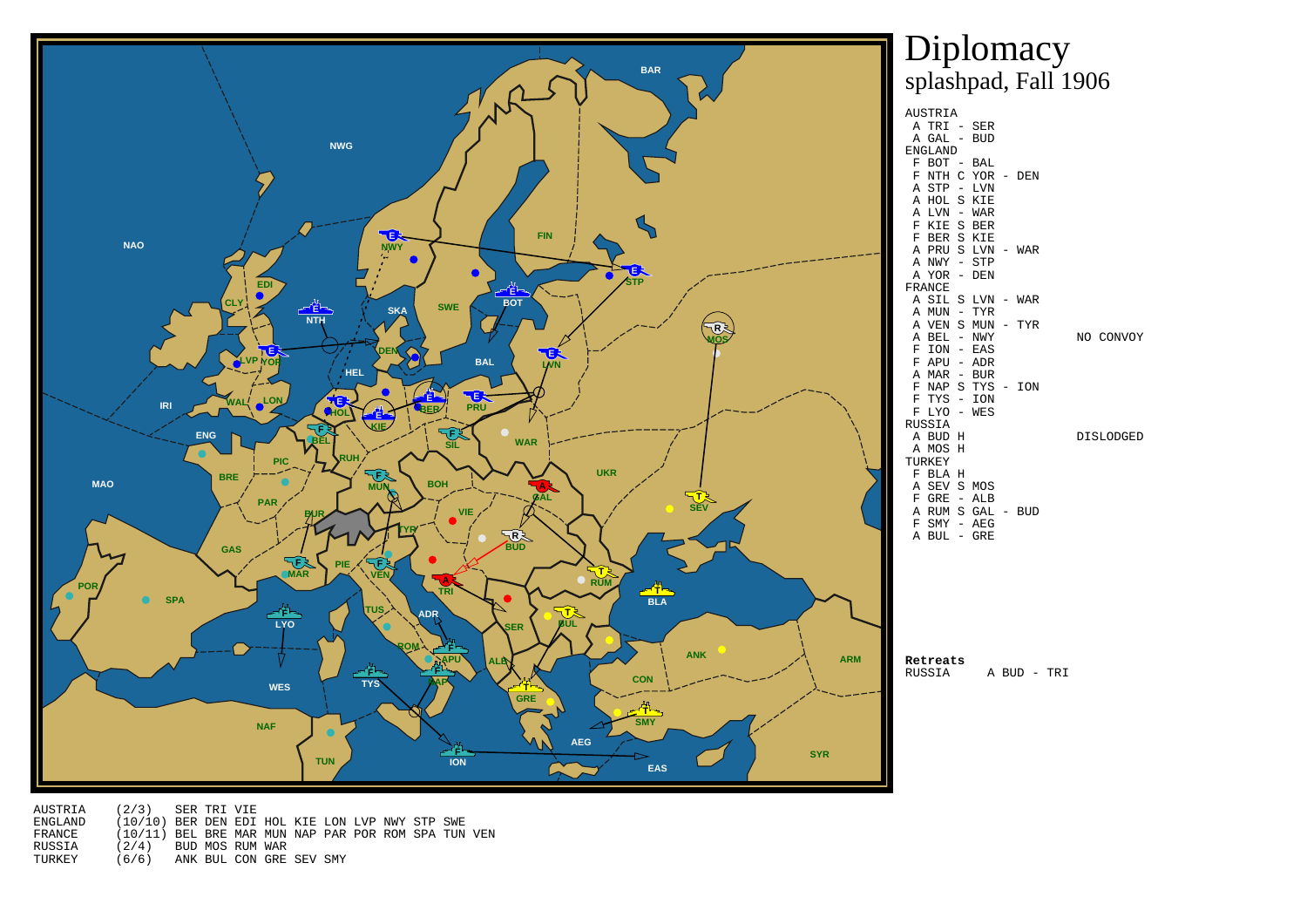

AUSTRIA (2/3) SER TRI VIE ENGLAND (10/10) BER DEN EDI HOL KIE LON LVP NWY STP SWE FRANCE (10/11) BEL BRE MAR MUN NAP PAR POR ROM SPA TUN VENRUSSIA (2/4) BUD MOS RUM WARTURKEY (6/6) ANK BUL CON GRE SEV SMY

# Diplomacy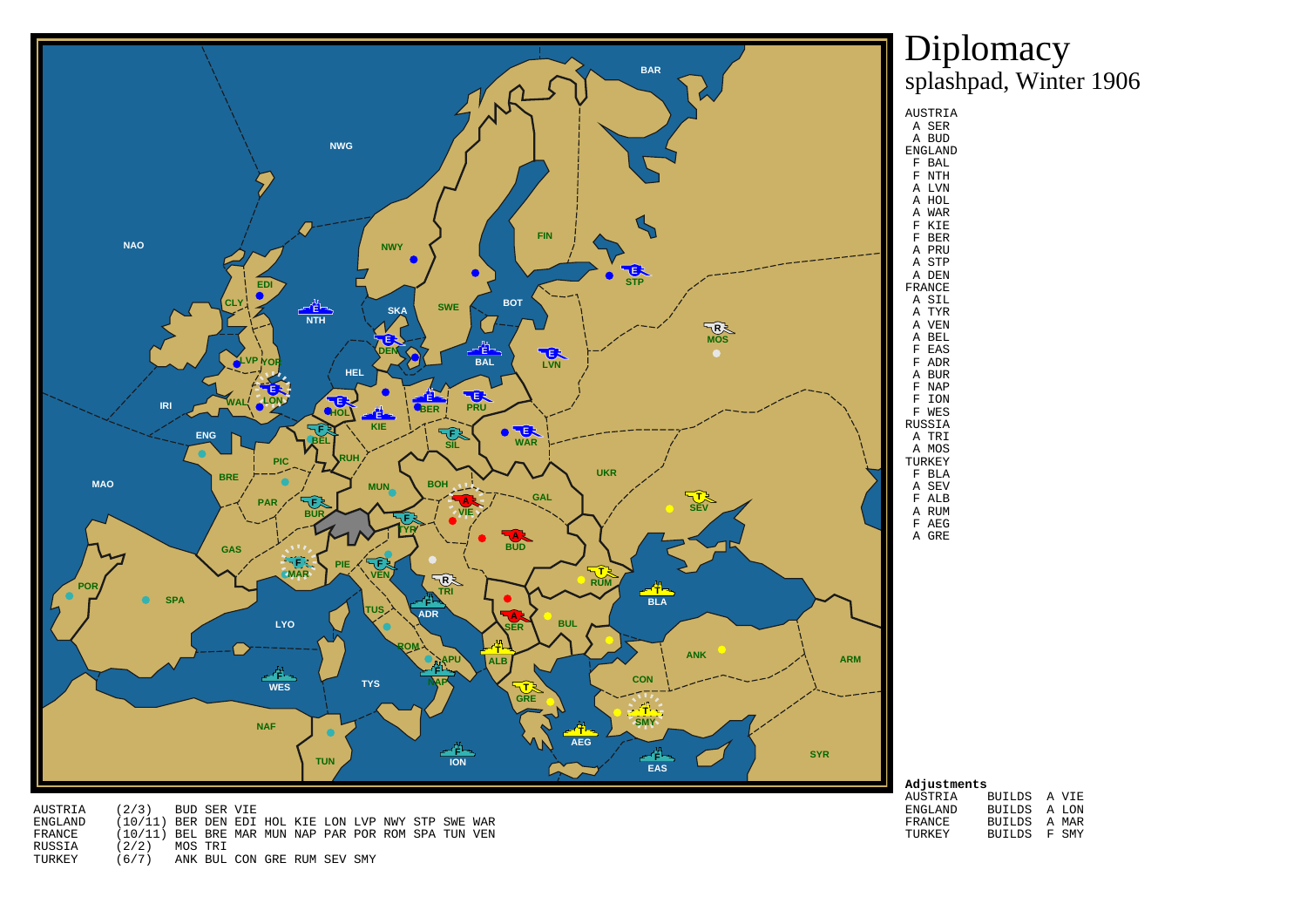

Diplomacysplashpad, Winter 1906

AUSTRIA (2/3) BUD SER VIE ENGLAND (10/11) BER DEN EDI HOL KIE LON LVP NWY STP SWE WAR FRANCE (10/11) BEL BRE MAR MUN NAP PAR POR ROM SPA TUN VENRUSSIA (2/2) MOS TRITURKEY (6/7) ANK BUL CON GRE RUM SEV SMY

| Adjustments    |               |       |  |
|----------------|---------------|-------|--|
| AUSTRIA        | BUILDS        | A VIE |  |
| <b>ENGLAND</b> | <b>BUILDS</b> | A LON |  |
| FRANCE         | <b>BUILDS</b> | A MAR |  |
| TURKEY         | <b>BUILDS</b> | F SMY |  |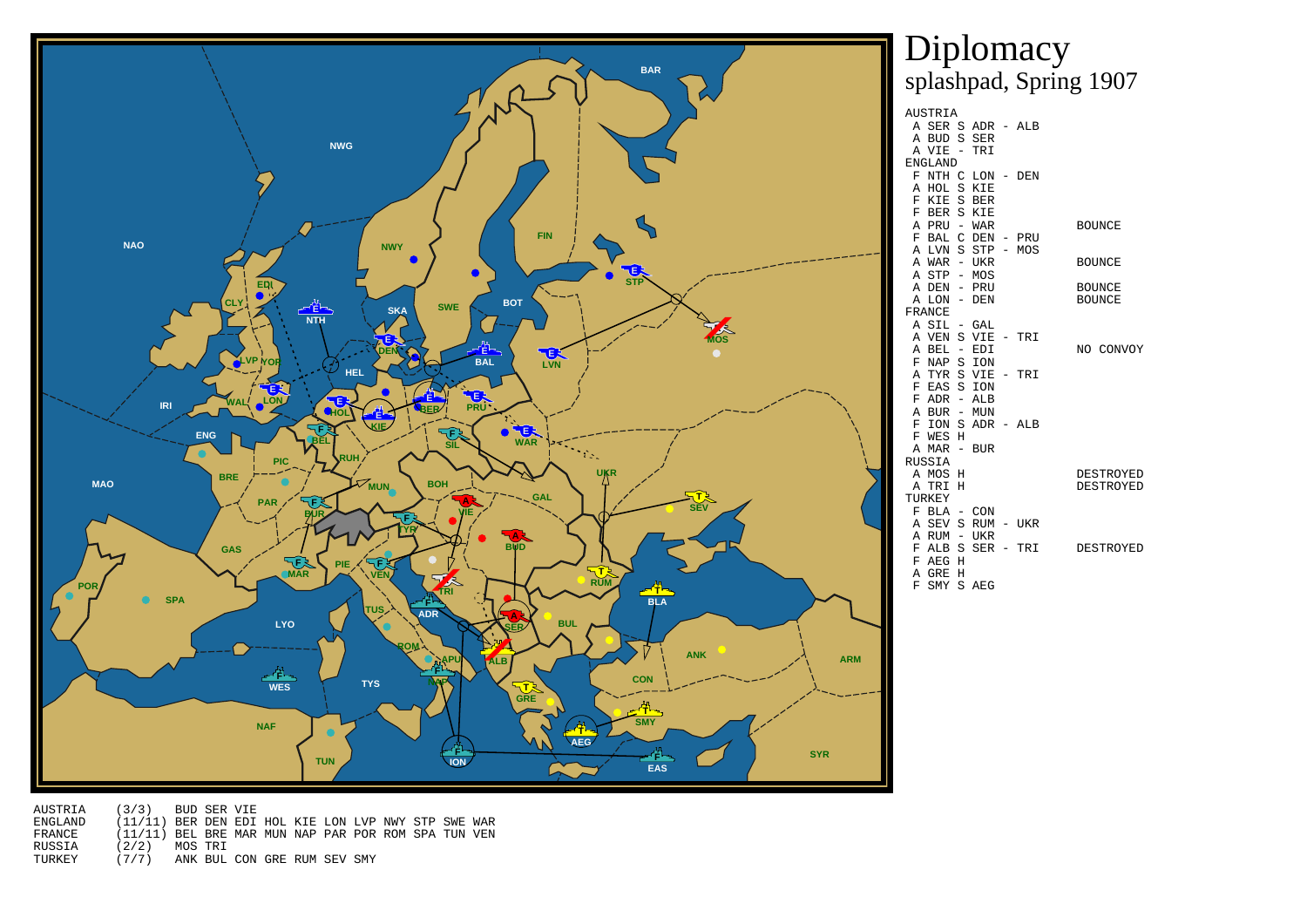

 A SER S ADR - ALB A BUD S SER A VIE - TRI ENGLAND F NTH C LON - DEN A HOL S KIE F KIE S BER F BER S KIE A PRU - WAR BOUNCE F BAL C DEN - PRU A LVN S STP - MOS A WAR - UKR BOUNCE A STP - MOS A DEN - PRU BOUNCE**BOUNCE**  $A$  LON - DEN FRANCE A SIL - GAL A VEN S VIE - TRI A BEL - EDI NO CONVOY F NAP S ION A TYR S VIE - TRI F EAS S ION F ADR - ALB A BUR - MUN F ION S ADR - ALB F WES H A MAR - BUR RUSSIAA MOS H **DESTROYED**  A TRI H DESTROYEDTURKEY F BLA - CON A SEV S RUM - UKR A RUM - UKR F ALB S SER - TRI DESTROYED F AEG H A GRE H F SMY S AEG

AUSTRIA (3/3) BUD SER VIE ENGLAND (11/11) BER DEN EDI HOL KIE LON LVP NWY STP SWE WAR FRANCE (11/11) BEL BRE MAR MUN NAP PAR POR ROM SPA TUN VENRUSSIA (2/2) MOS TRITURKEY (7/7) ANK BUL CON GRE RUM SEV SMY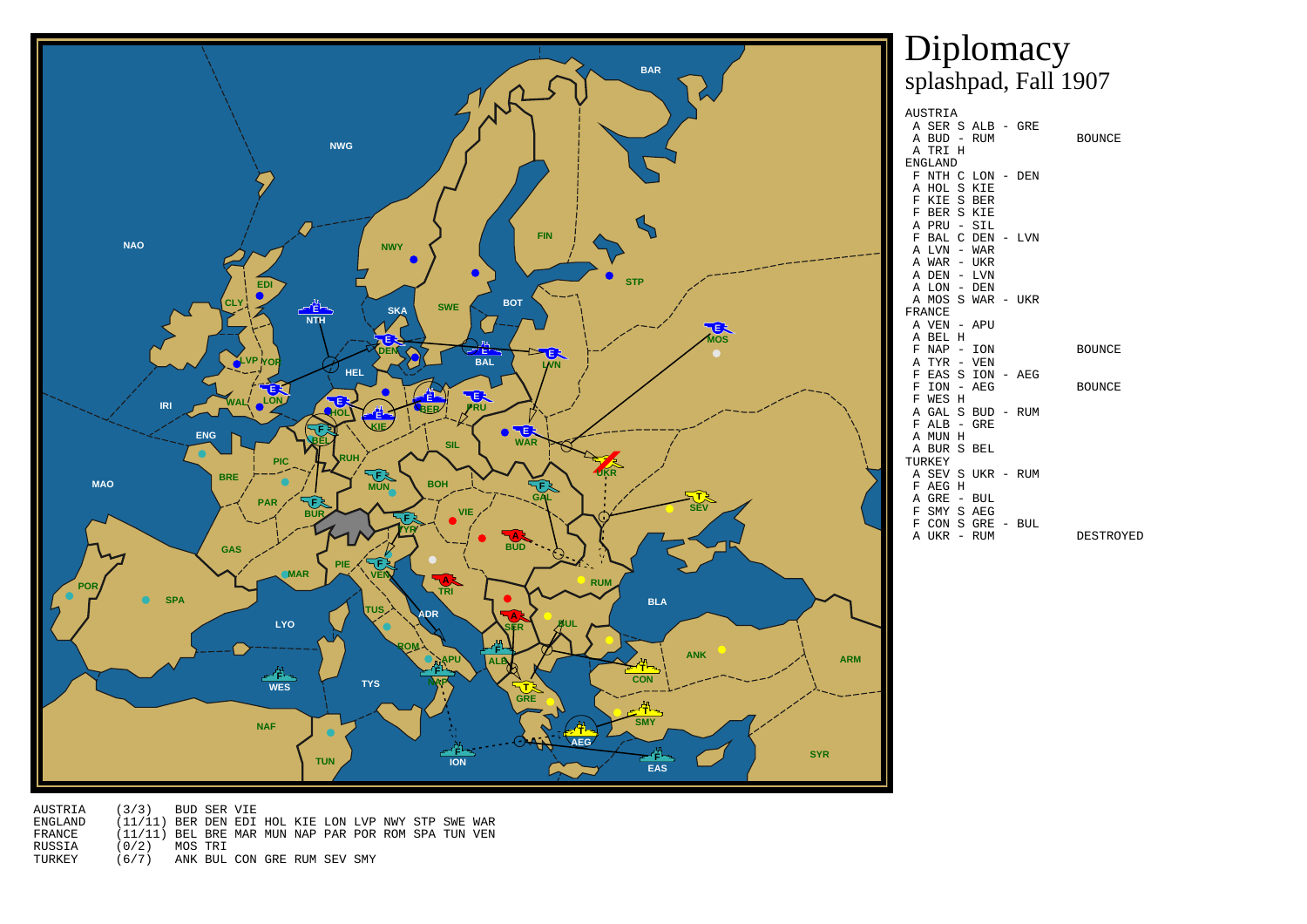

AUSTRIA A SER S ALB - GRE A BUD - RUM BOUNCE A TRI H ENGLAND F NTH C LON - DEN A HOL S KIE F KIE S BER F BER S KIE A PRU - SIL F BAL C DEN - LVN A LVN - WAR A WAR - UKR A DEN - LVN A LON - DEN A MOS S WAR - UKR FRANCE A VEN - APU A BEL H F NAP - ION BOUNCE A TYR - VEN F EAS S ION - AEG F ION - AEG BOUNCE F WES H A GAL S BUD - RUM F ALB - GRE A MUN H A BUR S BEL TURKEY A SEV S UKR - RUM F AEG H A GRE - BUL F SMY S AEG F CON S GRE - BUL A UKR - RUM DESTROYED

AUSTRIA (3/3) BUD SER VIE ENGLAND (11/11) BER DEN EDI HOL KIE LON LVP NWY STP SWE WAR FRANCE (11/11) BEL BRE MAR MUN NAP PAR POR ROM SPA TUN VENRUSSIA (0/2) MOS TRITURKEY (6/7) ANK BUL CON GRE RUM SEV SMY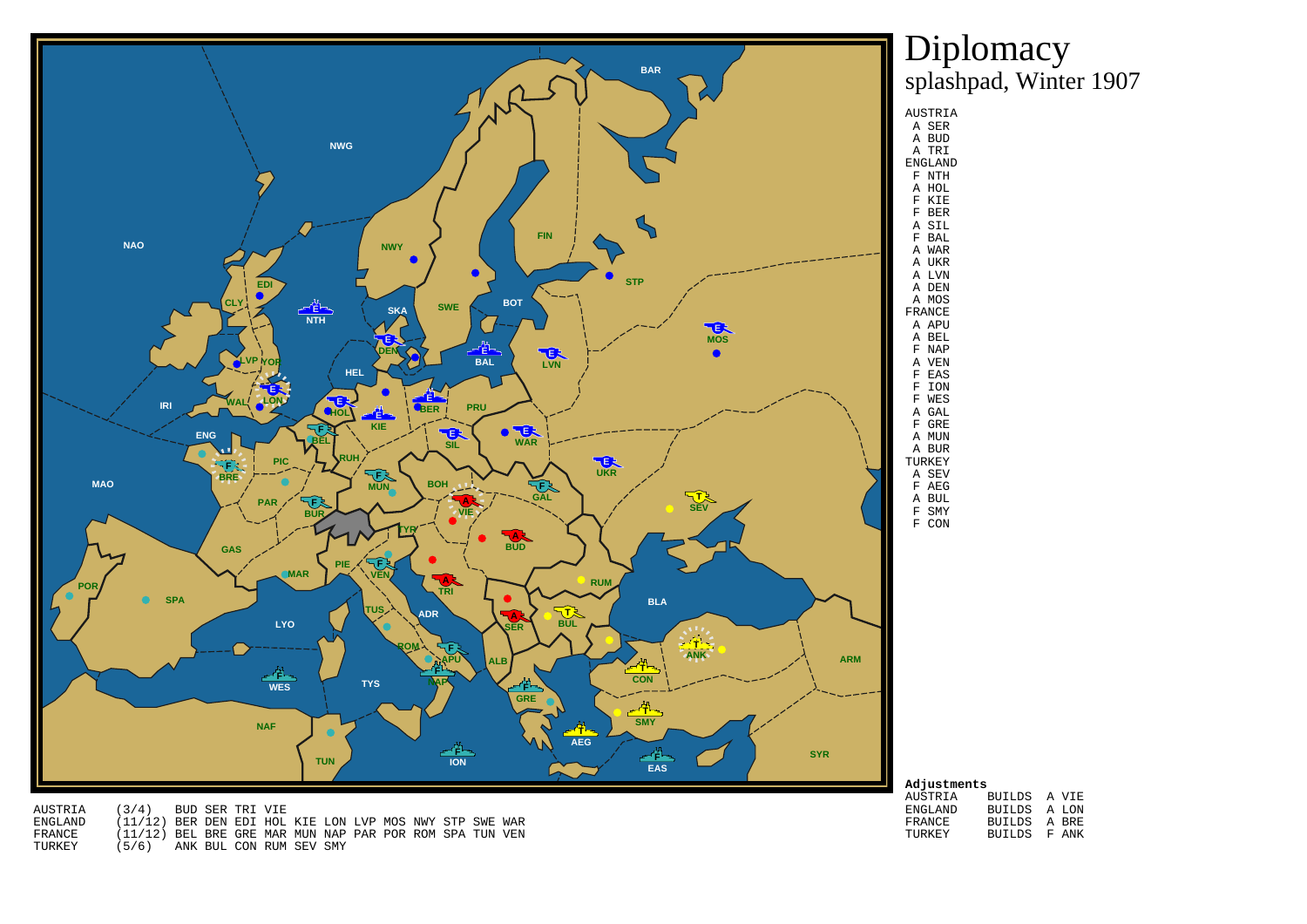

AUSTRIA (3/4) BUD SER TRI VIE ENGLAND (11/12) BER DEN EDI HOL KIE LON LVP MOS NWY STP SWE WAR FRANCE (11/12) BEL BRE GRE MAR MUN NAP PAR POR ROM SPA TUN VENTURKEY (5/6) ANK BUL CON RUM SEV SMY

| Adjustments    |               |       |  |  |  |  |  |  |
|----------------|---------------|-------|--|--|--|--|--|--|
| AUSTRIA        | <b>BUILDS</b> | A VIE |  |  |  |  |  |  |
| <b>ENGLAND</b> | <b>BUILDS</b> | A LON |  |  |  |  |  |  |
| FRANCE         | <b>BUILDS</b> | A RRE |  |  |  |  |  |  |
| TURKEY         | <b>BUILDS</b> | F ANK |  |  |  |  |  |  |

#### Diplomacysplashpad, Winter 1907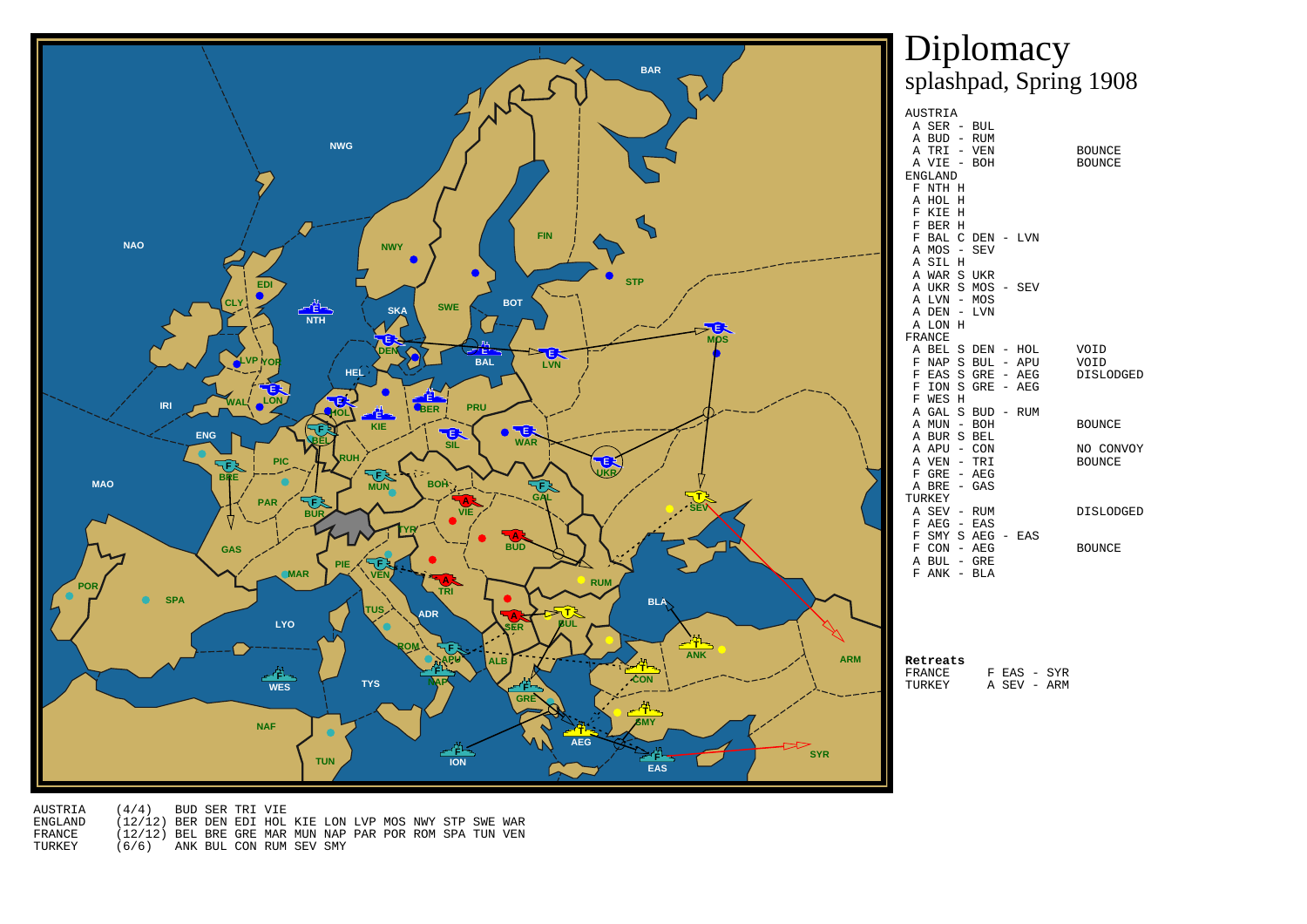

|   |               | A TRI - VEN       |  | <b>BOUNCE</b>               |
|---|---------------|-------------------|--|-----------------------------|
|   |               | A VIE - BOH       |  | <b>BOUNCE</b>               |
|   | ENGLAND       |                   |  |                             |
|   | F NTH H       |                   |  |                             |
|   | A HOL H       |                   |  |                             |
|   | F KIE H       |                   |  |                             |
|   | F BER H       |                   |  |                             |
|   |               | F BAL C DEN - LVN |  |                             |
|   |               | A MOS - SEV       |  |                             |
|   | A SIL H       |                   |  |                             |
|   |               | A WAR S UKR       |  |                             |
|   |               | A UKR S MOS - SEV |  |                             |
|   |               | A LVN - MOS       |  |                             |
|   | A DEN - LVN   |                   |  |                             |
|   | A LON H       |                   |  |                             |
|   | FRANCE        |                   |  |                             |
|   |               | A BEL S DEN - HOL |  | VOID                        |
|   |               | F NAP S BUL - APU |  | VOID                        |
|   |               |                   |  | F EAS S GRE - AEG DISLODGED |
|   | F ION S       | GRE - AEG         |  |                             |
|   | F WES H       |                   |  |                             |
|   |               | A GAL S BUD - RUM |  |                             |
|   | A MUN - BOH   |                   |  | <b>BOUNCE</b>               |
|   | A BUR S BEL   |                   |  |                             |
|   |               | A APU - CON       |  | NO CONVOY                   |
|   | A VEN - TRI   |                   |  | <b>BOUNCE</b>               |
|   | $F$ GRE - AEG |                   |  |                             |
| Α | BRE - GAS     |                   |  |                             |
|   | TURKEY        |                   |  |                             |
|   | A SEV - RUM   |                   |  | <b>DISLODGED</b>            |
|   |               | $F$ AEG - EAS     |  |                             |
|   |               | F SMY S AEG - EAS |  |                             |
|   | $F$ CON - AEG |                   |  | <b>BOUNCE</b>               |
|   | A BUL - GRE   |                   |  |                             |
|   | F ANK - BLA   |                   |  |                             |
|   |               |                   |  |                             |
|   |               |                   |  |                             |

**Retreats**FRANCE F EAS - SYR TURKEY A SEV - ARM

AUSTRIA (4/4) BUD SER TRI VIE ENGLAND (12/12) BER DEN EDI HOL KIE LON LVP MOS NWY STP SWE WAR FRANCE (12/12) BEL BRE GRE MAR MUN NAP PAR POR ROM SPA TUN VENTURKEY (6/6) ANK BUL CON RUM SEV SMY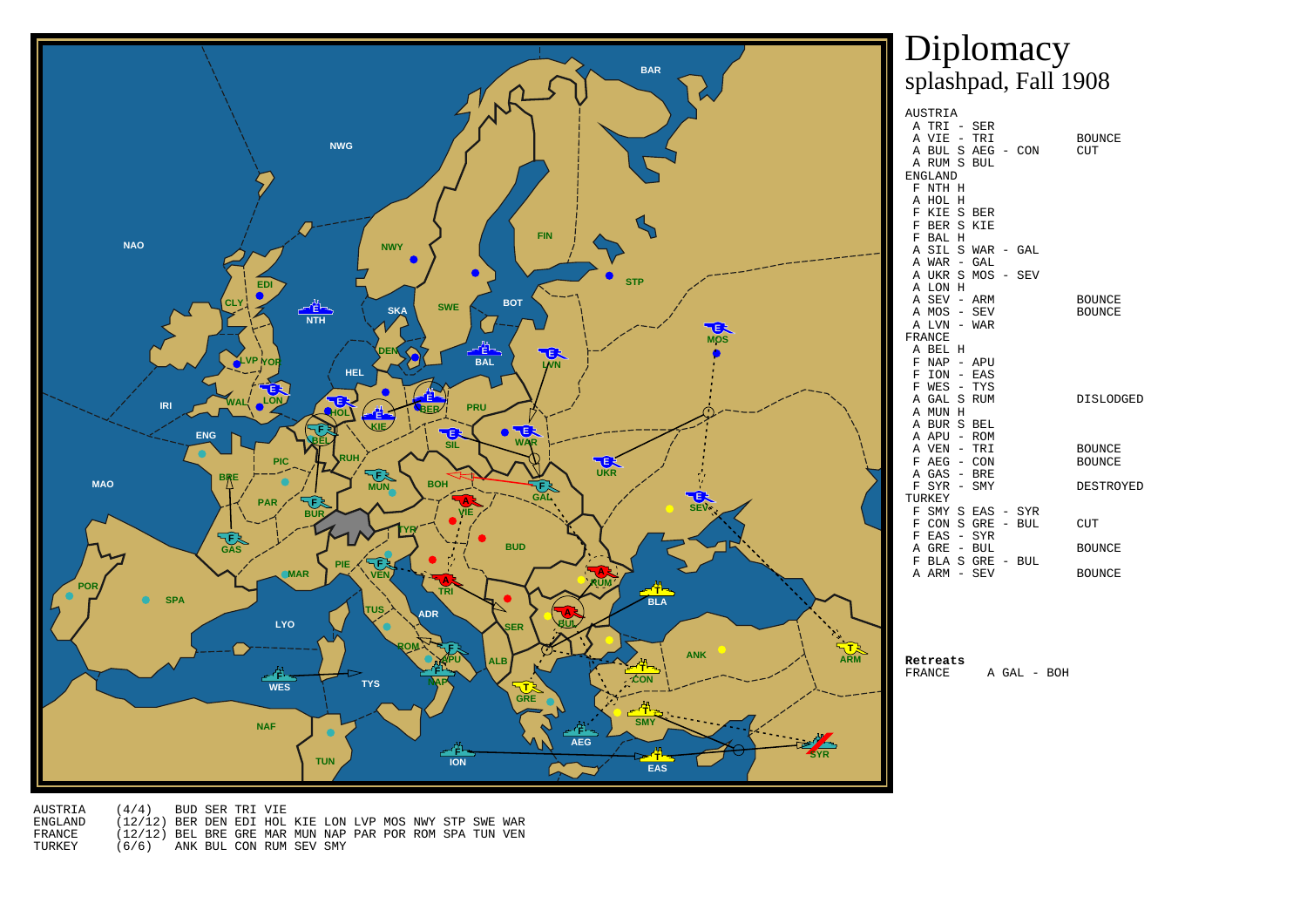

|    | 59991915       |       |               |       |            |               |
|----|----------------|-------|---------------|-------|------------|---------------|
|    | A TRI - SER    |       |               |       |            |               |
|    | A VIE - TRI    |       |               |       |            | <b>BOUNCE</b> |
|    | A BUL S        |       |               |       | AEG - CON  | <b>CUT</b>    |
|    | A RUM S BUL    |       |               |       |            |               |
|    | <b>ENGLAND</b> |       |               |       |            |               |
|    | F NTH H        |       |               |       |            |               |
|    | А НОЦ          | Η     |               |       |            |               |
|    | F KIE S BER    |       |               |       |            |               |
| F  | BER S          |       | KIE           |       |            |               |
|    | F BAL H        |       |               |       |            |               |
|    | A SIL S        |       | WAR - GAL     |       |            |               |
|    |                |       | A WAR - GAL   |       |            |               |
|    | A UKR S        |       | $MOS -$       |       | <b>SEV</b> |               |
|    | A LON H        |       |               |       |            |               |
|    | A SEV -        |       | ARM           |       |            | <b>BOUNCE</b> |
|    | A MOS - SEV    |       |               |       |            | <b>BOUNCE</b> |
| A  | LVN - WAR      |       |               |       |            |               |
|    | FRANCE         |       |               |       |            |               |
|    | A BEL H        |       |               |       |            |               |
| F. | NAP - APU      |       |               |       |            |               |
|    | $F$ ION $-$    |       | EAS           |       |            |               |
|    | F WES - TYS    |       |               |       |            |               |
|    | A GAL S        |       | <b>RUM</b>    |       |            | DISLODGED     |
|    | A MUN H        |       |               |       |            |               |
|    | A BUR S BEL    |       |               |       |            |               |
|    | A APU - ROM    |       |               |       |            |               |
|    | A VEN - TRI    |       |               |       |            | <b>BOUNCE</b> |
|    | F AEG - CON    |       |               |       |            | <b>BOUNCE</b> |
| A  | GAS            | $ \,$ | <b>BRE</b>    |       |            |               |
| F  | SYR            |       | - SMY         |       |            | DESTROYED     |
|    | TURKEY         |       |               |       |            |               |
| F  | SMY S          |       |               |       | EAS - SYR  |               |
| F. |                |       | $CON S GRE -$ |       | <b>BUL</b> | <b>CUT</b>    |
| F  | EAS - SYR      |       |               |       |            |               |
|    | A GRE -        |       | <b>BUL</b>    |       |            | <b>BOUNCE</b> |
| F  | BLA            | S     | GRE           | $ \,$ | BUL        |               |
| A  | ARM            | $-$   | <b>SEV</b>    |       |            | <b>BOUNCE</b> |
|    |                |       |               |       |            |               |

**Retreats**FRANCE A GAL - BOH

AUSTRIA (4/4) BUD SER TRI VIE ENGLAND (12/12) BER DEN EDI HOL KIE LON LVP MOS NWY STP SWE WAR FRANCE (12/12) BEL BRE GRE MAR MUN NAP PAR POR ROM SPA TUN VENTURKEY (6/6) ANK BUL CON RUM SEV SMY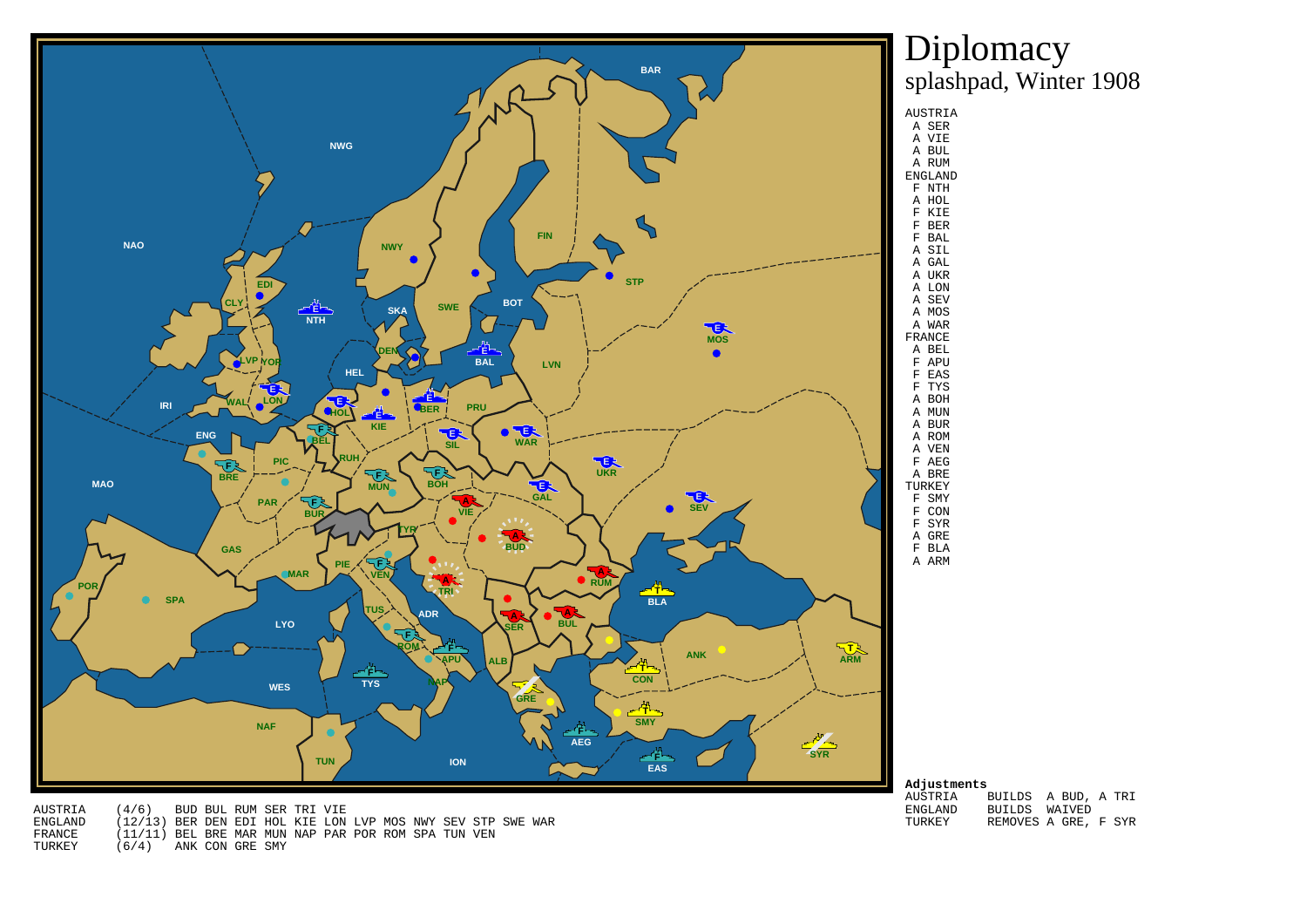

AUSTRIA (4/6) BUD BUL RUM SER TRI VIE ENGLAND (12/13) BER DEN EDI HOL KIE LON LVP MOS NWY SEV STP SWE WARFRANCE (11/11) BEL BRE MAR MUN NAP PAR POR ROM SPA TUN VENTURKEY (6/4) ANK CON GRE SMY

**Adjustments**

AUSTRIA BUILDS A BUD, A TRIENGLAND BUILDS WAIVEDTURKEY REMOVES A GRE, F SYR

Diplomacysplashpad, Winter 1908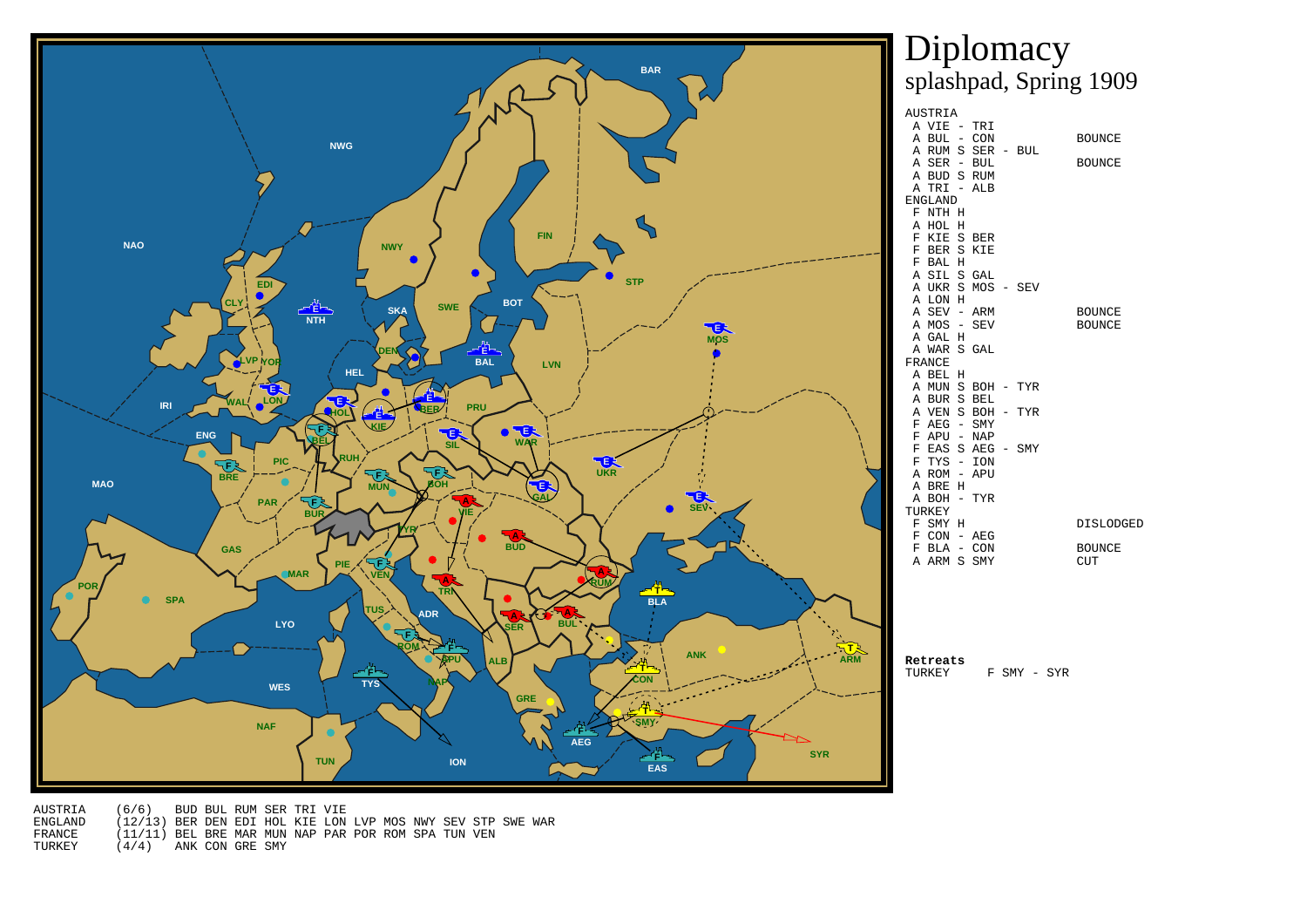

| A BUL - CON |                   |  | <b>BOUNCE</b> |  |
|-------------|-------------------|--|---------------|--|
|             | A RUM S SER - BUL |  |               |  |
| A SER - BUL |                   |  | <b>BOUNCE</b> |  |
| A BUD S RUM |                   |  |               |  |
| A TRI - ALB |                   |  |               |  |
| ENGLAND     |                   |  |               |  |
| F NTH H     |                   |  |               |  |
| A HOL H     |                   |  |               |  |
| F KIE S BER |                   |  |               |  |
| F BER S KIE |                   |  |               |  |
| F BAL H     |                   |  |               |  |
| A SIL S GAL |                   |  |               |  |
|             | A UKR S MOS - SEV |  |               |  |
| A LON H     |                   |  |               |  |
| A SEV - ARM |                   |  | <b>BOUNCE</b> |  |
| A MOS - SEV |                   |  | <b>BOUNCE</b> |  |
| A GAL H     |                   |  |               |  |
| A WAR S GAL |                   |  |               |  |
| FRANCE      |                   |  |               |  |
| A BEL H     |                   |  |               |  |
|             | A MUN S BOH - TYR |  |               |  |
|             | A BUR S BEL       |  |               |  |
|             | A VEN S BOH - TYR |  |               |  |
| F AEG - SMY |                   |  |               |  |
| F APU - NAP |                   |  |               |  |
|             | F EAS S AEG - SMY |  |               |  |
| F TYS - ION |                   |  |               |  |
| A ROM - APU |                   |  |               |  |
| A BRE H     |                   |  |               |  |
| A BOH - TYR |                   |  |               |  |
| TURKEY      |                   |  |               |  |
| F SMY H     |                   |  | DISLODGED     |  |
| F CON - AEG |                   |  |               |  |
| F BLA - CON |                   |  | <b>BOUNCE</b> |  |
| A ARM S SMY |                   |  | <b>CUT</b>    |  |
|             |                   |  |               |  |

**Retreats**TURKEY F SMY - SYR

AUSTRIA (6/6) BUD BUL RUM SER TRI VIE ENGLAND (12/13) BER DEN EDI HOL KIE LON LVP MOS NWY SEV STP SWE WARFRANCE (11/11) BEL BRE MAR MUN NAP PAR POR ROM SPA TUN VENTURKEY (4/4) ANK CON GRE SMY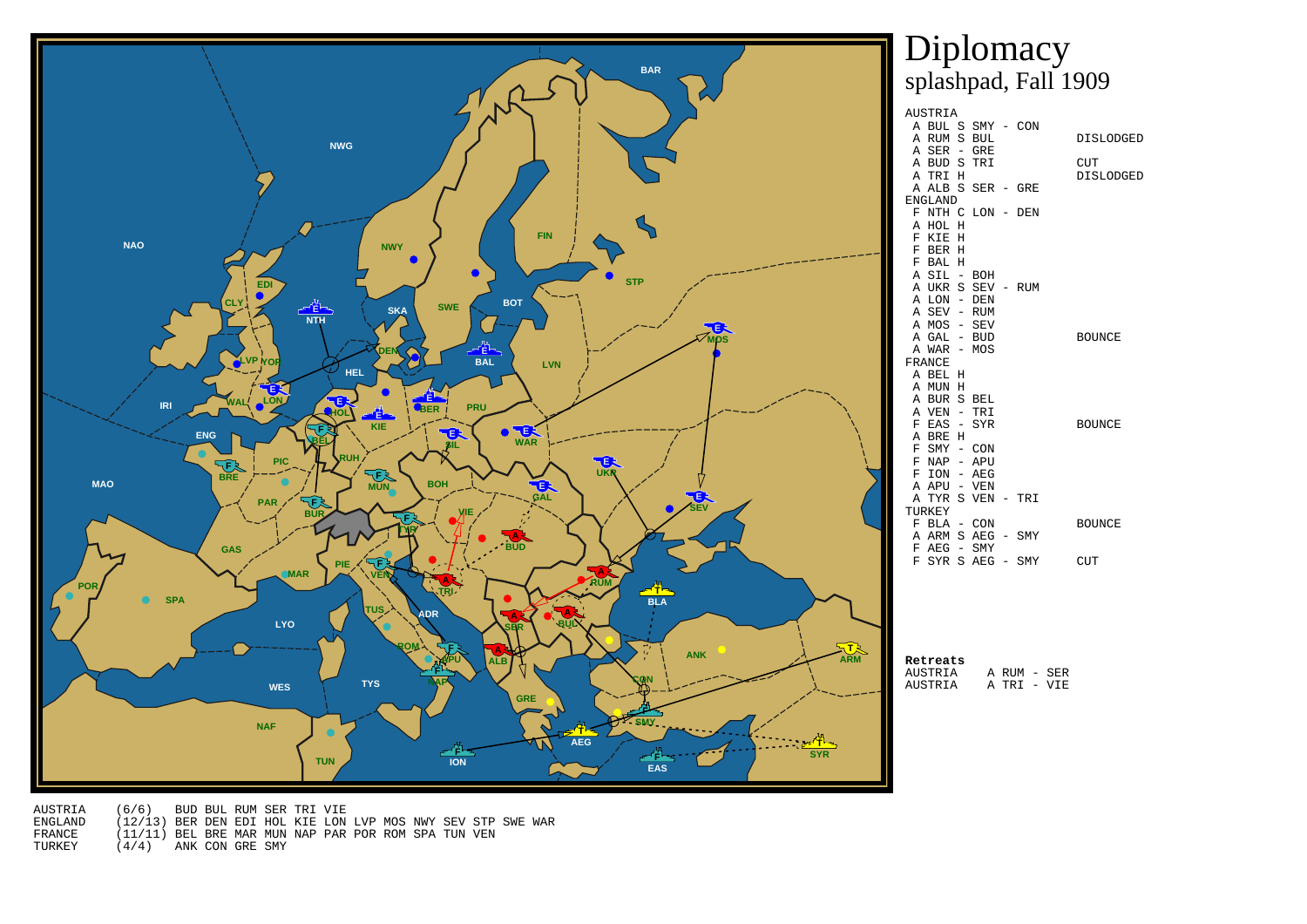

|   |                            | A BUL S SMY - CON |     |               |
|---|----------------------------|-------------------|-----|---------------|
|   | A RUM S BUL                |                   |     | DISLODGED     |
|   | A SER - GRE                |                   |     |               |
|   | A BUD S TRI                |                   |     | <b>CUT</b>    |
|   | A TRI H                    |                   |     | DISLODGED     |
|   | A ALB<br>ENGLAND           | S SER - GRE       |     |               |
| F |                            | NTH C LON -       | DEN |               |
|   | A HOL H                    |                   |     |               |
| F | KIE H                      |                   |     |               |
| F | BER H                      |                   |     |               |
|   | F BAL H                    |                   |     |               |
|   | A SIL -                    | BOH               |     |               |
|   |                            | A UKR S SEV - RUM |     |               |
|   | A LON - DEN                |                   |     |               |
|   | A SEV - RUM                |                   |     |               |
|   | A MOS - SEV                |                   |     |               |
|   | A GAL - BUD                |                   |     | <b>BOUNCE</b> |
|   | A WAR - MOS                |                   |     |               |
|   | FRANCE                     |                   |     |               |
|   | A BEL H                    |                   |     |               |
|   | A MUN H                    |                   |     |               |
|   | A BUR S                    | BEL               |     |               |
|   | A VEN - TRI<br>$F$ EAS $-$ | SYR               |     | <b>BOUNCE</b> |
|   | A BRE H                    |                   |     |               |
|   | F SMY -                    | CON               |     |               |
| F | NAP - APU                  |                   |     |               |
|   | F ION -                    | AEG               |     |               |
|   | A APU - VEN                |                   |     |               |
| A |                            | TYR S VEN -       | TRI |               |
|   | TURKEY                     |                   |     |               |
|   | F BLA - CON                |                   |     | <b>BOUNCE</b> |
| Α |                            | ARM S AEG -       | SMY |               |
|   | $F$ AEG $-$                | SMY               |     |               |
| F |                            | SYR S AEG -       | SMY | <b>CUT</b>    |
|   |                            |                   |     |               |
|   |                            |                   |     |               |

A RUM - SER

AUSTRIA A TRI - VIE

AUSTRIA (6/6) BUD BUL RUM SER TRI VIE ENGLAND (12/13) BER DEN EDI HOL KIE LON LVP MOS NWY SEV STP SWE WARFRANCE (11/11) BEL BRE MAR MUN NAP PAR POR ROM SPA TUN VENTURKEY (4/4) ANK CON GRE SMY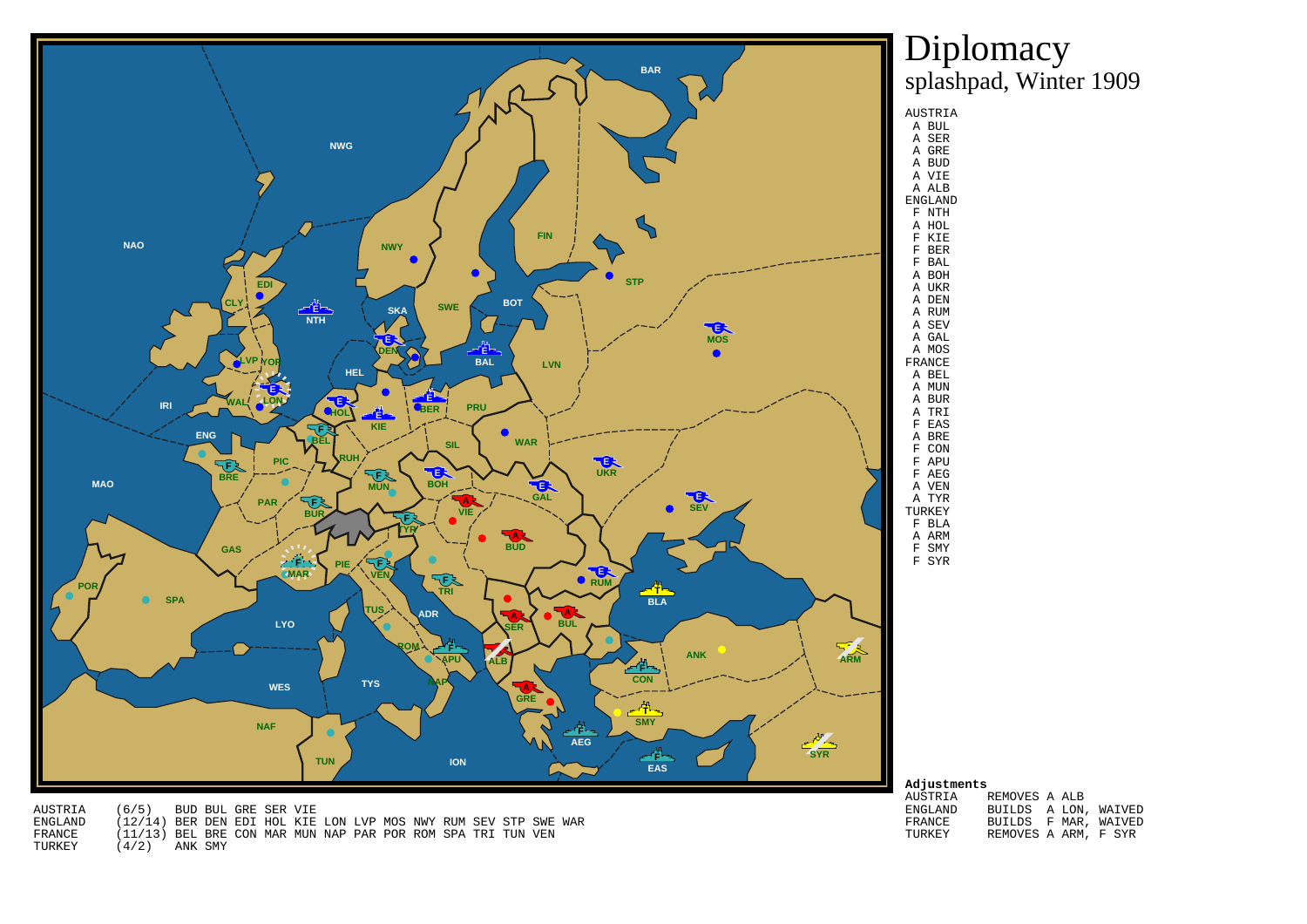

AUSTRIA (6/5) BUD BUL GRE SER VIE ENGLAND (12/14) BER DEN EDI HOL KIE LON LVP MOS NWY RUM SEV STP SWE WARFRANCE (11/13) BEL BRE CON MAR MUN NAP PAR POR ROM SPA TRI TUN VENTURKEY (4/2) ANK SMY

|  |             | au justilelits |  |     |
|--|-------------|----------------|--|-----|
|  | 7 TTOMD T 7 |                |  | DD. |

| AUSTRIA | REMOVES A ALB        |  |  |
|---------|----------------------|--|--|
| ENGLAND | BUILDS A LON, WAIVED |  |  |
| FRANCE  | BUILDS F MAR, WAIVED |  |  |
| TURKEY  | REMOVES A ARM, F SYR |  |  |

Diplomacysplashpad, Winter 1909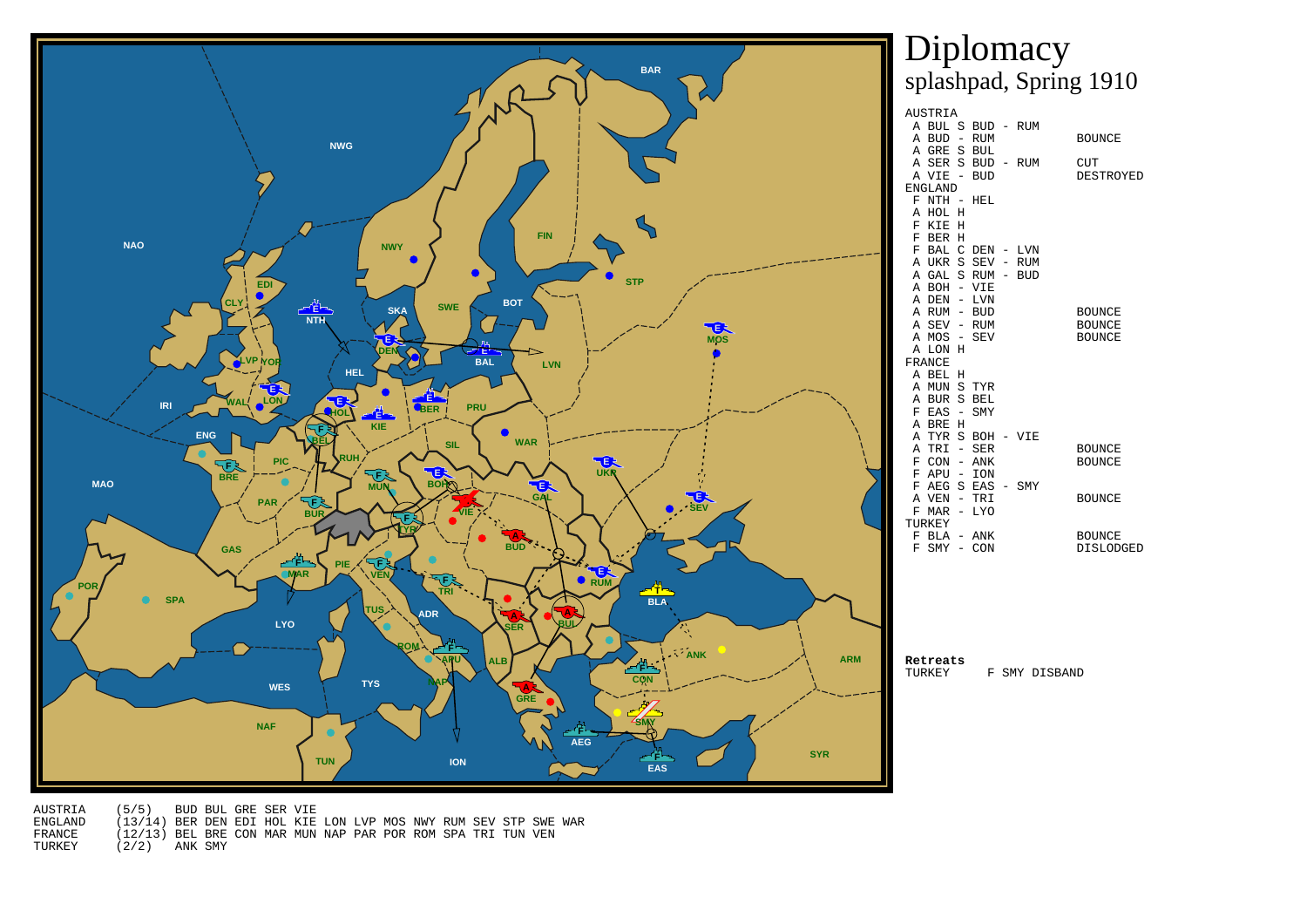

|   | AUUINIA     |                   |  |                  |
|---|-------------|-------------------|--|------------------|
|   |             | A BUL S BUD - RUM |  |                  |
|   | A BUD - RUM |                   |  | <b>BOUNCE</b>    |
|   | A GRE S BUL |                   |  |                  |
|   |             | A SER S BUD - RUM |  | <b>CUT</b>       |
|   | A VIE - BUD |                   |  | DESTROYED        |
|   | ENGLAND     |                   |  |                  |
| F |             | NTH - HEL         |  |                  |
|   | A HOL H     |                   |  |                  |
|   | F KIE H     |                   |  |                  |
|   | F BER H     |                   |  |                  |
|   |             | F BAL C DEN - LVN |  |                  |
|   |             | A UKR S SEV - RUM |  |                  |
|   |             | A GAL S RUM - BUD |  |                  |
|   | A BOH - VIE |                   |  |                  |
|   | A DEN - LVN |                   |  |                  |
|   | A RUM - BUD |                   |  | <b>BOUNCE</b>    |
|   | A SEV - RUM |                   |  | <b>BOUNCE</b>    |
|   | A MOS - SEV |                   |  | <b>BOUNCE</b>    |
| Α | LON H       |                   |  |                  |
|   | FRANCE      |                   |  |                  |
|   | A BEL H     |                   |  |                  |
|   | A MUN S TYR |                   |  |                  |
|   | A BUR S BEL |                   |  |                  |
|   | F EAS - SMY |                   |  |                  |
|   | A BRE H     |                   |  |                  |
|   |             | A TYR S BOH - VIE |  |                  |
|   | A TRI - SER |                   |  | <b>BOUNCE</b>    |
|   | $F$ CON $-$ | ANK               |  | <b>BOUNCE</b>    |
|   | F APU - ION |                   |  |                  |
|   |             | F AEG S EAS - SMY |  |                  |
|   | A VEN - TRI |                   |  | <b>BOUNCE</b>    |
| F |             | MAR - LYO         |  |                  |
|   | TURKEY      |                   |  |                  |
| F |             | $BLA - ANK$       |  | <b>BOUNCE</b>    |
|   | F SMY - CON |                   |  | <b>DISLODGED</b> |
|   |             |                   |  |                  |

TURKEY F SMY DISBAND

AUSTRIA (5/5) BUD BUL GRE SER VIE ENGLAND (13/14) BER DEN EDI HOL KIE LON LVP MOS NWY RUM SEV STP SWE WARFRANCE (12/13) BEL BRE CON MAR MUN NAP PAR POR ROM SPA TRI TUN VENTURKEY (2/2) ANK SMY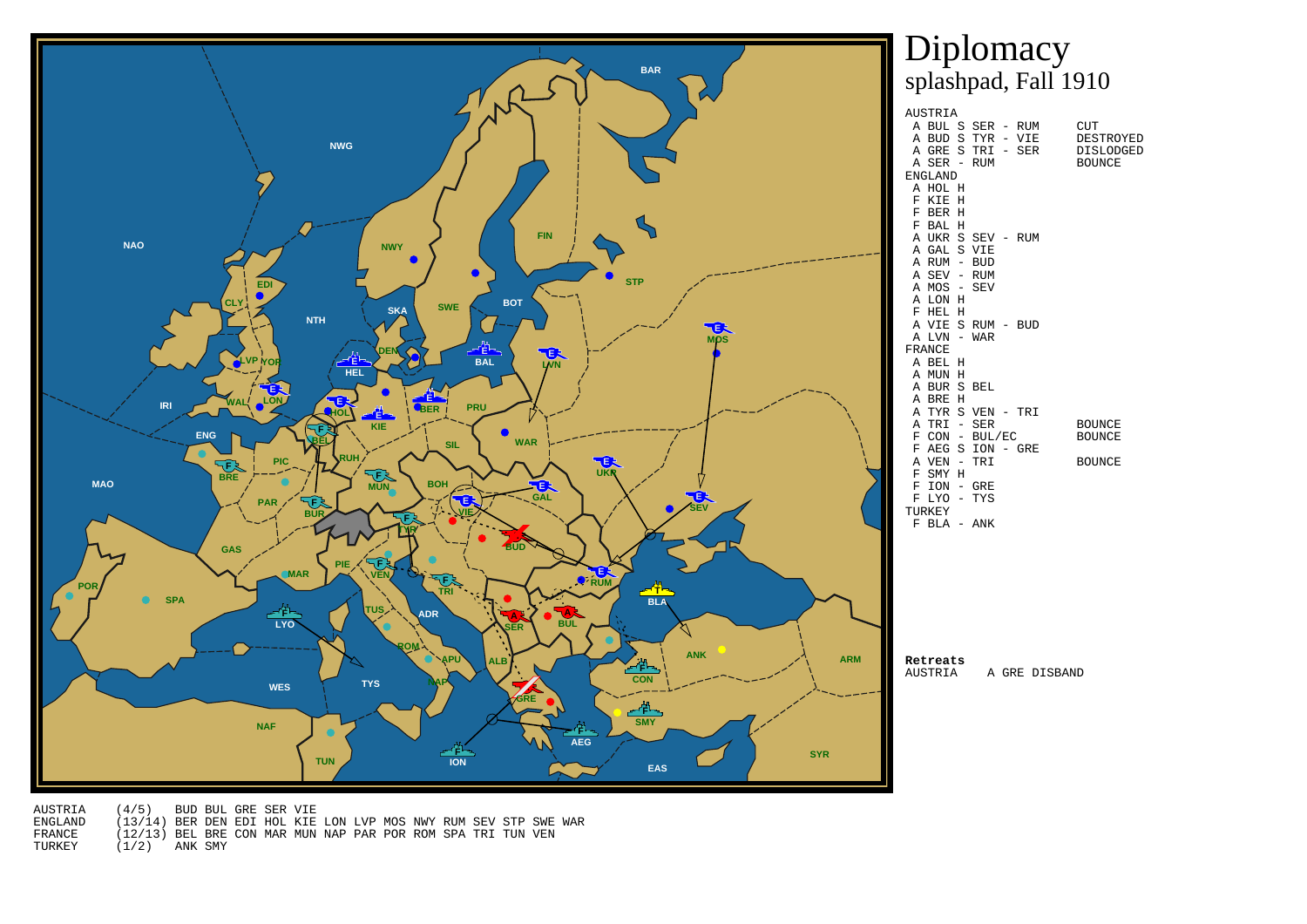

|  | AUSIRIA            |                   |  |                  |
|--|--------------------|-------------------|--|------------------|
|  |                    | A BUL S SER - RUM |  | <b>CUT</b>       |
|  |                    | A BUD S TYR - VIE |  | DESTROYED        |
|  |                    | A GRE S TRI - SER |  | <b>DISLODGED</b> |
|  | A SER -            | RUM               |  | <b>BOUNCE</b>    |
|  | ENGLAND            |                   |  |                  |
|  | A HOL H            |                   |  |                  |
|  | F KIE H            |                   |  |                  |
|  | F BER H            |                   |  |                  |
|  | F BAL H            |                   |  |                  |
|  |                    | A UKR S SEV - RUM |  |                  |
|  | A GAL S VIE        |                   |  |                  |
|  | A RUM - BUD        |                   |  |                  |
|  | A SEV - RUM        |                   |  |                  |
|  | A MOS - SEV        |                   |  |                  |
|  | A LON H            |                   |  |                  |
|  | F HEL H            |                   |  |                  |
|  | A VIE S            | RUM - BUD         |  |                  |
|  | A LVN - WAR        |                   |  |                  |
|  | <b>FRANCE</b>      |                   |  |                  |
|  | A BEL H            |                   |  |                  |
|  |                    |                   |  |                  |
|  | A MUN H            |                   |  |                  |
|  | A BUR S<br>A BRE H | BEL               |  |                  |
|  |                    | A TYR S VEN - TRI |  |                  |
|  |                    |                   |  |                  |
|  | A TRI - SER        |                   |  | <b>BOUNCE</b>    |
|  |                    | F CON - BUL/EC    |  | <b>BOUNCE</b>    |
|  |                    | F AEG S ION - GRE |  |                  |
|  | A VEN -            | TRI               |  | <b>BOUNCE</b>    |
|  | F SMY H            |                   |  |                  |
|  | F ION - GRE        |                   |  |                  |
|  | F LYO - TYS        |                   |  |                  |
|  | TURKEY             |                   |  |                  |
|  | F BLA - ANK        |                   |  |                  |
|  |                    |                   |  |                  |
|  |                    |                   |  |                  |
|  |                    |                   |  |                  |
|  |                    |                   |  |                  |
|  |                    |                   |  |                  |
|  |                    |                   |  |                  |
|  |                    |                   |  |                  |
|  |                    |                   |  |                  |
|  |                    |                   |  |                  |

A GRE DISBAND

AUSTRIA (4/5) BUD BUL GRE SER VIE ENGLAND (13/14) BER DEN EDI HOL KIE LON LVP MOS NWY RUM SEV STP SWE WARFRANCE (12/13) BEL BRE CON MAR MUN NAP PAR POR ROM SPA TRI TUN VENTURKEY (1/2) ANK SMY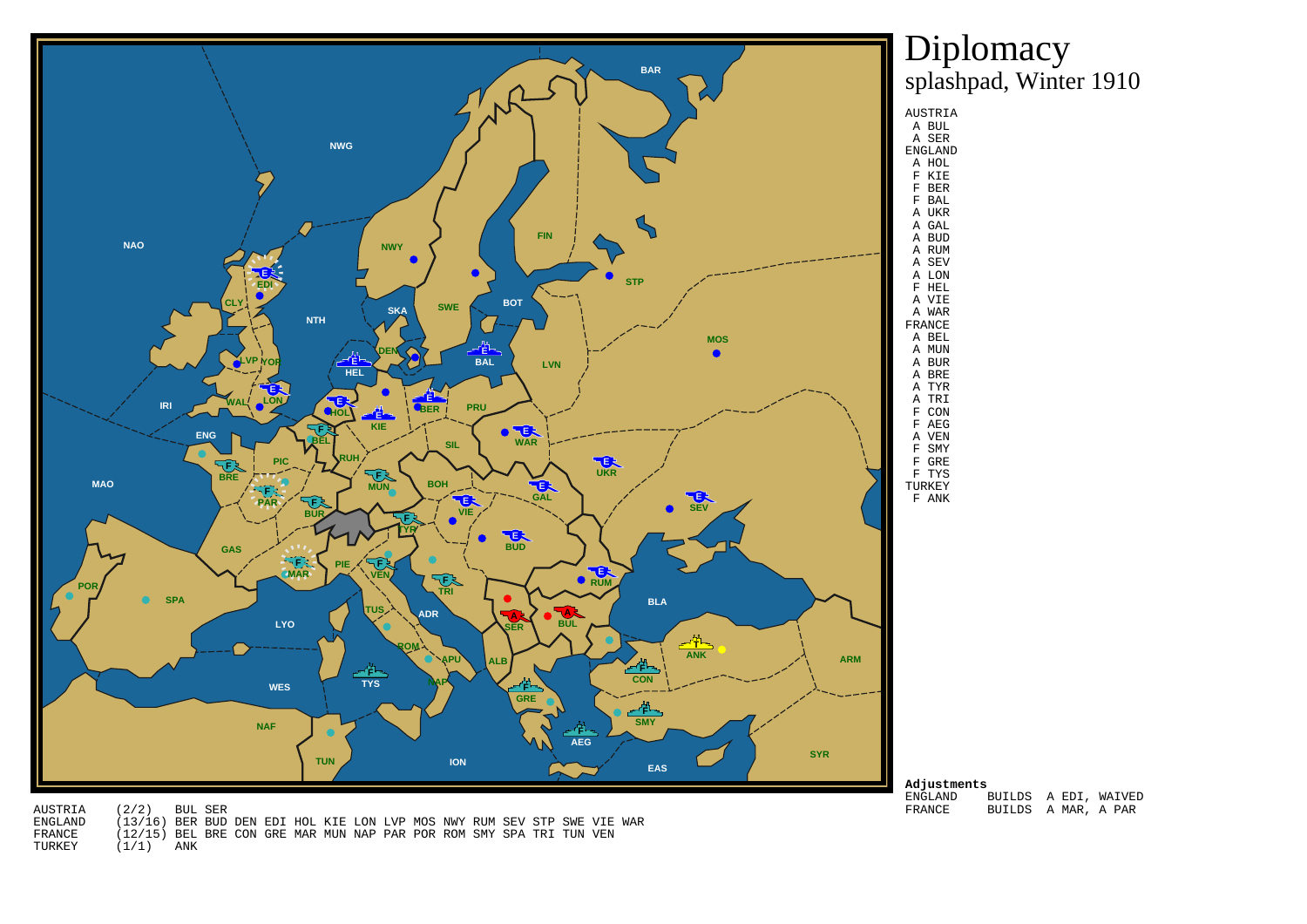

Diplomacysplashpad, Winter 1910

**Adjustments**ENGLAND BUILDS A EDI, WAIVEDFRANCE BUILDS A MAR, A PAR

| AUSTRIA | $(2/2)$ BUL SER                                                         |     |  |  |  |  |  |  |  |  |
|---------|-------------------------------------------------------------------------|-----|--|--|--|--|--|--|--|--|
| ENGLAND | (13/16) BER BUD DEN EDI HOL KIE LON LVP MOS NWY RUM SEV STP SWE VIE WAR |     |  |  |  |  |  |  |  |  |
| FRANCE  | (12/15) BEL BRE CON GRE MAR MUN NAP PAR POR ROM SMY SPA TRI TUN VEN     |     |  |  |  |  |  |  |  |  |
| TURKEY  | (1/1)                                                                   | ANK |  |  |  |  |  |  |  |  |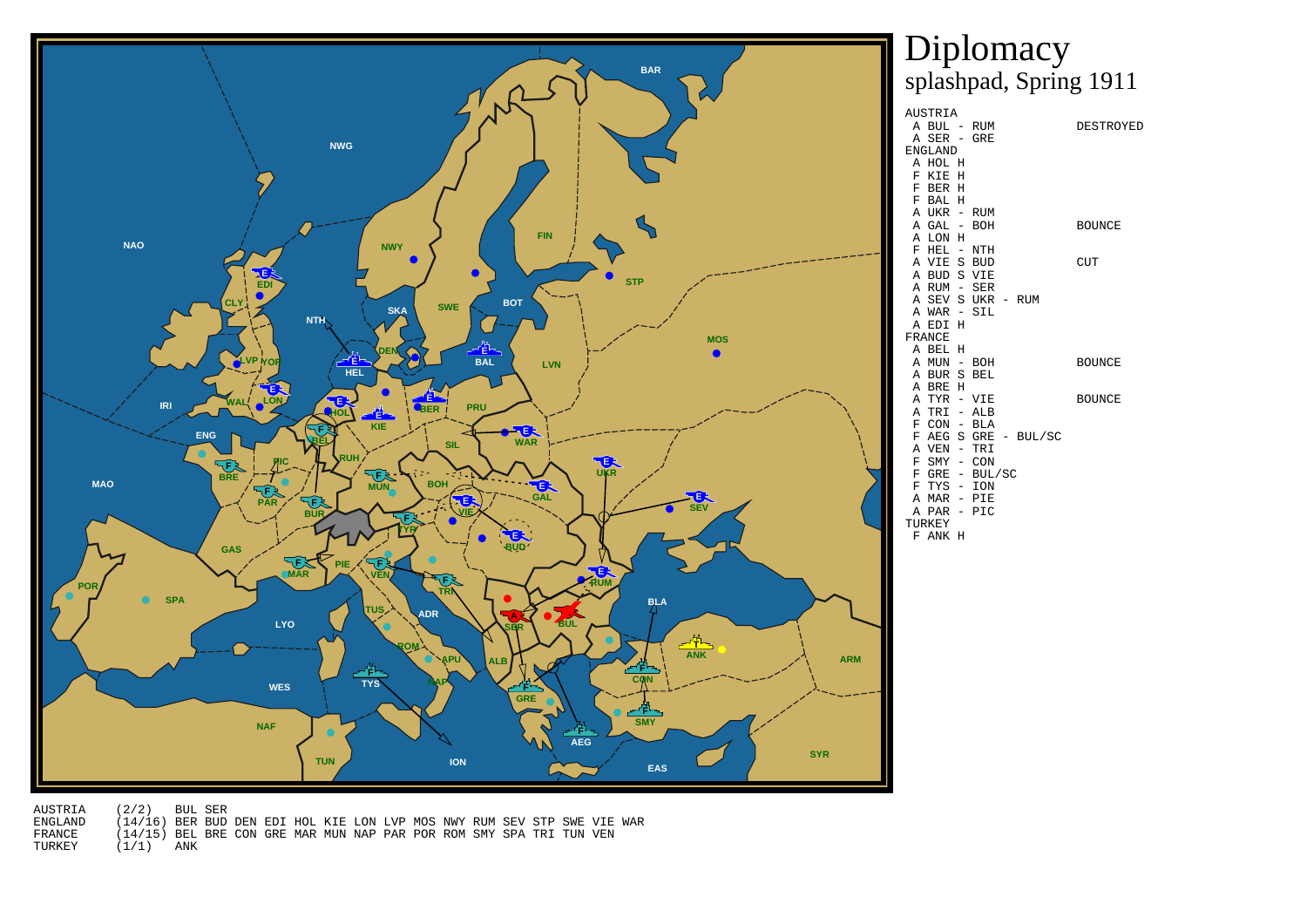

|   | AUSTRIA        |          |                   |  |                      |               |
|---|----------------|----------|-------------------|--|----------------------|---------------|
|   | A BUL - RUM    |          |                   |  |                      | DESTROYED     |
|   | A SER - GRE    |          |                   |  |                      |               |
|   | <b>ENGLAND</b> |          |                   |  |                      |               |
|   | A HOL H        |          |                   |  |                      |               |
| F | KIE H          |          |                   |  |                      |               |
|   | F BER H        |          |                   |  |                      |               |
|   | F BAL H        |          |                   |  |                      |               |
|   | A UKR - RUM    |          |                   |  |                      |               |
|   | A GAL -        |          | <b>BOH</b>        |  |                      | <b>BOUNCE</b> |
|   | A LON H        |          |                   |  |                      |               |
|   | F HEL - NTH    |          |                   |  |                      |               |
|   | A VIE S BUD    |          |                   |  |                      | <b>CUT</b>    |
|   | A BUD S VIE    |          |                   |  |                      |               |
|   | A RUM - SER    |          |                   |  |                      |               |
|   |                |          | A SEV S UKR - RUM |  |                      |               |
|   | A WAR - SIL    |          |                   |  |                      |               |
|   | A EDI H        |          |                   |  |                      |               |
|   | FRANCE         |          |                   |  |                      |               |
|   | A BEL H        |          |                   |  |                      |               |
|   | A MUN - BOH    |          |                   |  |                      | <b>BOUNCE</b> |
|   | A BUR S        |          | BEL               |  |                      |               |
|   | A BRE H        |          |                   |  |                      |               |
|   | A TYR - VIE    |          |                   |  |                      | <b>BOUNCE</b> |
| Α |                |          | TRI - ALB         |  |                      |               |
|   | F CON - BLA    |          |                   |  |                      |               |
|   |                |          |                   |  | F AEG S GRE - BUL/SC |               |
|   | A VEN - TRI    |          |                   |  |                      |               |
|   | F SMY - CON    |          |                   |  |                      |               |
|   |                |          | $F$ GRE - BUL/SC  |  |                      |               |
|   | $F$ TYS -      |          | ION               |  |                      |               |
|   | A MAR - PIE    |          |                   |  |                      |               |
| A | PAR - PIC      |          |                   |  |                      |               |
|   | TURKEY         |          |                   |  |                      |               |
|   | אזווא ים       | <b>U</b> |                   |  |                      |               |

AUSTRIA (2/2) BUL SER

ENGLAND (14/16) BER BUD DEN EDI HOL KIE LON LVP MOS NWY RUM SEV STP SWE VIE WAR

FRANCE (14/15) BEL BRE CON GRE MAR MUN NAP PAR POR ROM SMY SPA TRI TUN VEN

TURKEY (1/1) ANK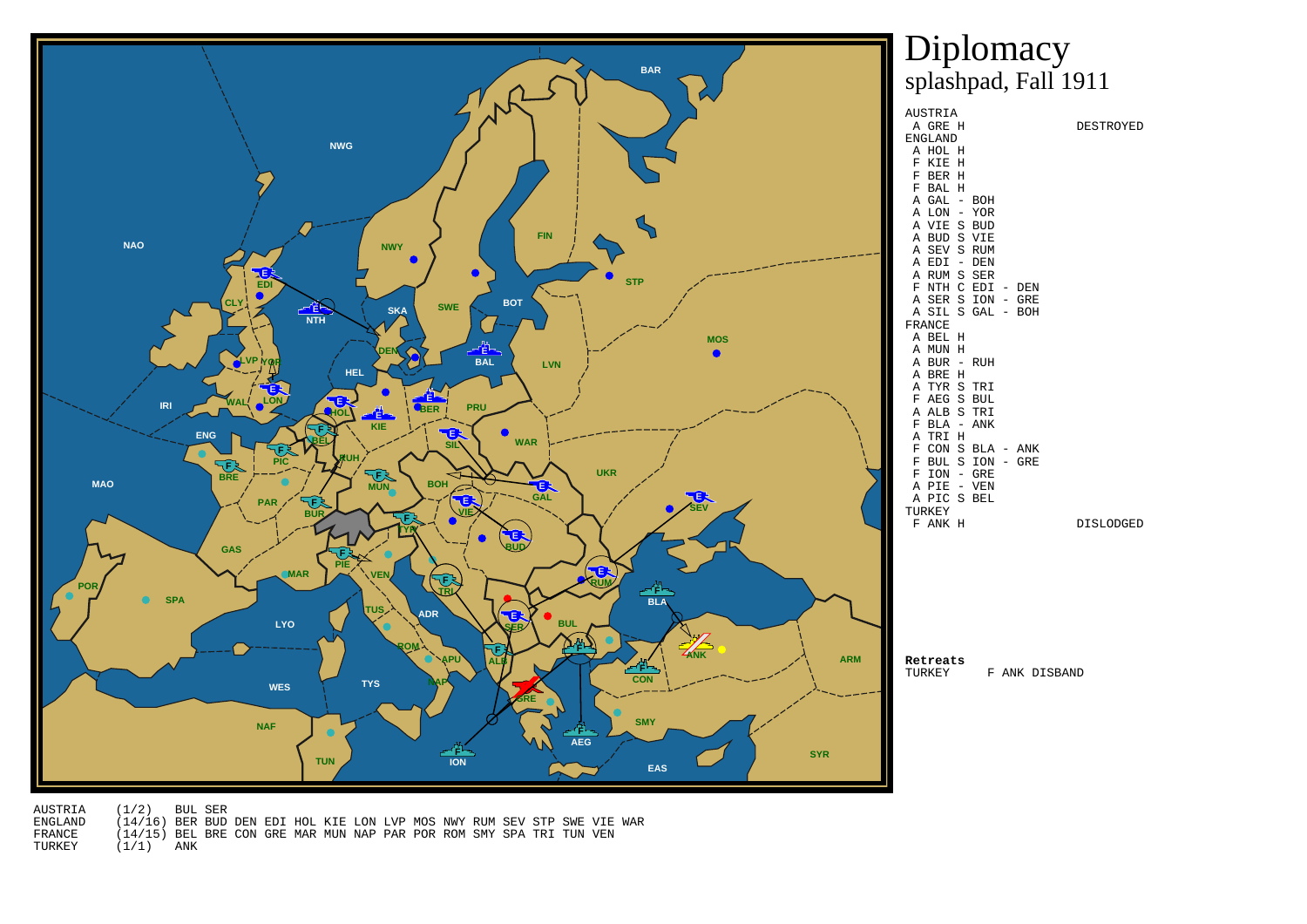

AUSTRIA (1/2) BUL SER

ENGLAND (14/16) BER BUD DEN EDI HOL KIE LON LVP MOS NWY RUM SEV STP SWE VIE WAR

FRANCE (14/15) BEL BRE CON GRE MAR MUN NAP PAR POR ROM SMY SPA TRI TUN VEN

TURKEY (1/1) ANK